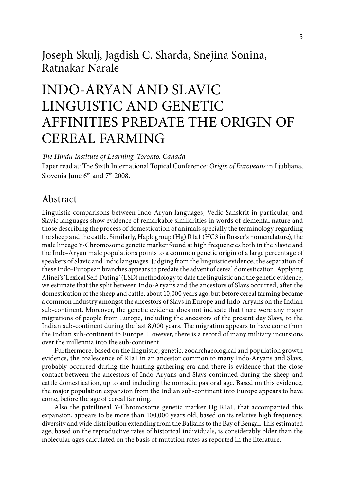## Joseph Skulj, Jagdish C. Sharda, Snejina Sonina, Ratnakar Narale

# INDO-ARYAN AND SLAVIC LINGUISTIC AND GENETIC AFFINITIES PREDATE THE ORIGIN OF CEREAL FARMING

*The Hindu Institute of Learning, Toronto, Canada*

Paper read at: The Sixth International Topical Conference: *Origin of Europeans* in Ljubljana, Slovenia June  $6<sup>th</sup>$  and  $7<sup>th</sup>$  2008.

### Abstract

Linguistic comparisons between Indo-Aryan languages, Vedic Sanskrit in particular, and Slavic languages show evidence of remarkable similarities in words of elemental nature and those describing the process of domestication of animals specially the terminology regarding the sheep and the cattle. Similarly, Haplogroup (Hg) R1a1 (HG3 in Rosser's nomenclature), the male lineage Y-Chromosome genetic marker found at high frequencies both in the Slavic and the Indo-Aryan male populations points to a common genetic origin of a large percentage of speakers of Slavic and Indic languages. Judging from the linguistic evidence, the separation of these Indo-European branches appears to predate the advent of cereal domestication. Applying Alinei's 'Lexical Self-Dating' (LSD) methodology to date the linguistic and the genetic evidence, we estimate that the split between Indo-Aryans and the ancestors of Slavs occurred, after the domestication of the sheep and cattle, about 10,000 years ago, but before cereal farming became a common industry amongst the ancestors of Slavs in Europe and Indo-Aryans on the Indian sub-continent. Moreover, the genetic evidence does not indicate that there were any major migrations of people from Europe, including the ancestors of the present day Slavs, to the Indian sub-continent during the last 8,000 years. The migration appears to have come from the Indian sub-continent to Europe. However, there is a record of many military incursions over the millennia into the sub-continent.

Furthermore, based on the linguistic, genetic, zooarchaeological and population growth evidence, the coalescence of R1a1 in an ancestor common to many Indo-Aryans and Slavs, probably occurred during the hunting-gathering era and there is evidence that the close contact between the ancestors of Indo-Aryans and Slavs continued during the sheep and cattle domestication, up to and including the nomadic pastoral age. Based on this evidence, the major population expansion from the Indian sub-continent into Europe appears to have come, before the age of cereal farming.

Also the patrilineal Y-Chromosome genetic marker Hg R1a1, that accompanied this expansion, appears to be more than 100,000 years old, based on its relative high frequency, diversity and wide distribution extending from the Balkans to the Bay of Bengal. This estimated age, based on the reproductive rates of historical individuals, is considerably older than the molecular ages calculated on the basis of mutation rates as reported in the literature.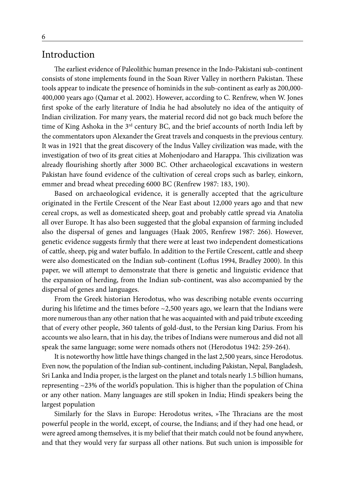#### Introduction

The earliest evidence of Paleolithic human presence in the Indo-Pakistani sub-continent consists of stone implements found in the Soan River Valley in northern Pakistan. These tools appear to indicate the presence of hominids in the sub-continent as early as 200,000- 400,000 years ago (Qamar et al. 2002). However, according to C. Renfrew, when W. Jones first spoke of the early literature of India he had absolutely no idea of the antiquity of Indian civilization. For many years, the material record did not go back much before the time of King Ashoka in the  $3<sup>rd</sup>$  century BC, and the brief accounts of north India left by the commentators upon Alexander the Great travels and conquests in the previous century. It was in 1921 that the great discovery of the Indus Valley civilization was made, with the investigation of two of its great cities at Mohenjodaro and Harappa. This civilization was already flourishing shortly after 3000 BC. Other archaeological excavations in western Pakistan have found evidence of the cultivation of cereal crops such as barley, einkorn, emmer and bread wheat preceding 6000 BC (Renfrew 1987: 183, 190).

Based on archaeological evidence, it is generally accepted that the agriculture originated in the Fertile Crescent of the Near East about 12,000 years ago and that new cereal crops, as well as domesticated sheep, goat and probably cattle spread via Anatolia all over Europe. It has also been suggested that the global expansion of farming included also the dispersal of genes and languages (Haak 2005, Renfrew 1987: 266). However, genetic evidence suggests firmly that there were at least two independent domestications of cattle, sheep, pig and water buffalo. In addition to the Fertile Crescent, cattle and sheep were also domesticated on the Indian sub-continent (Loftus 1994, Bradley 2000). In this paper, we will attempt to demonstrate that there is genetic and linguistic evidence that the expansion of herding, from the Indian sub-continent, was also accompanied by the dispersal of genes and languages.

From the Greek historian Herodotus, who was describing notable events occurring during his lifetime and the times before ~2,500 years ago, we learn that the Indians were more numerous than any other nation that he was acquainted with and paid tribute exceeding that of every other people, 360 talents of gold-dust, to the Persian king Darius. From his accounts we also learn, that in his day, the tribes of Indians were numerous and did not all speak the same language; some were nomads others not (Herodotus 1942: 259-264).

It is noteworthy how little have things changed in the last 2,500 years, since Herodotus. Even now, the population of the Indian sub-continent, including Pakistan, Nepal, Bangladesh, Sri Lanka and India proper, is the largest on the planet and totals nearly 1.5 billion humans, representing  $\sim$  23% of the world's population. This is higher than the population of China or any other nation. Many languages are still spoken in India; Hindi speakers being the largest population

Similarly for the Slavs in Europe: Herodotus writes, »The Thracians are the most powerful people in the world, except, of course, the Indians; and if they had one head, or were agreed among themselves, it is my belief that their match could not be found anywhere, and that they would very far surpass all other nations. But such union is impossible for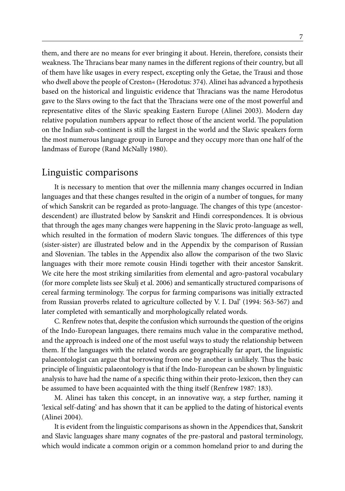them, and there are no means for ever bringing it about. Herein, therefore, consists their weakness. The Thracians bear many names in the different regions of their country, but all of them have like usages in every respect, excepting only the Getae, the Trausi and those who dwell above the people of Creston« (Herodotus: 374). Alinei has advanced a hypothesis based on the historical and linguistic evidence that Thracians was the name Herodotus gave to the Slavs owing to the fact that the Thracians were one of the most powerful and representative elites of the Slavic speaking Eastern Europe (Alinei 2003). Modern day relative population numbers appear to reflect those of the ancient world. The population on the Indian sub-continent is still the largest in the world and the Slavic speakers form the most numerous language group in Europe and they occupy more than one half of the landmass of Europe (Rand McNally 1980).

### Linguistic comparisons

It is necessary to mention that over the millennia many changes occurred in Indian languages and that these changes resulted in the origin of a number of tongues, for many of which Sanskrit can be regarded as proto-language. The changes of this type (ancestordescendent) are illustrated below by Sanskrit and Hindi correspondences. It is obvious that through the ages many changes were happening in the Slavic proto-language as well, which resulted in the formation of modern Slavic tongues. The differences of this type (sister-sister) are illustrated below and in the Appendix by the comparison of Russian and Slovenian. The tables in the Appendix also allow the comparison of the two Slavic languages with their more remote cousin Hindi together with their ancestor Sanskrit. We cite here the most striking similarities from elemental and agro-pastoral vocabulary (for more complete lists see Skulj et al. 2006) and semantically structured comparisons of cereal farming terminology. The corpus for farming comparisons was initially extracted from Russian proverbs related to agriculture collected by V. I. Dal' (1994: 563-567) and later completed with semantically and morphologically related words.

C. Renfrew notes that, despite the confusion which surrounds the question of the origins of the Indo-European languages, there remains much value in the comparative method, and the approach is indeed one of the most useful ways to study the relationship between them. If the languages with the related words are geographically far apart, the linguistic palaeontologist can argue that borrowing from one by another is unlikely. Thus the basic principle of linguistic palaeontology is that if the Indo-European can be shown by linguistic analysis to have had the name of a specific thing within their proto-lexicon, then they can be assumed to have been acquainted with the thing itself (Renfrew 1987: 183).

M. Alinei has taken this concept, in an innovative way, a step further, naming it 'lexical self-dating' and has shown that it can be applied to the dating of historical events (Alinei 2004).

It is evident from the linguistic comparisons as shown in the Appendices that, Sanskrit and Slavic languages share many cognates of the pre-pastoral and pastoral terminology, which would indicate a common origin or a common homeland prior to and during the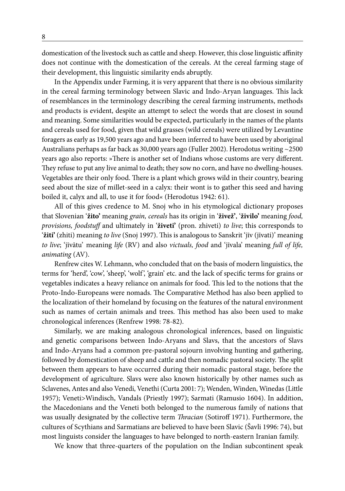domestication of the livestock such as cattle and sheep. However, this close linguistic affinity does not continue with the domestication of the cereals. At the cereal farming stage of their development, this linguistic similarity ends abruptly.

In the Appendix under Farming, it is very apparent that there is no obvious similarity in the cereal farming terminology between Slavic and Indo-Aryan languages. This lack of resemblances in the terminology describing the cereal farming instruments, methods and products is evident, despite an attempt to select the words that are closest in sound and meaning. Some similarities would be expected, particularly in the names of the plants and cereals used for food, given that wild grasses (wild cereals) were utilized by Levantine foragers as early as 19,500 years ago and have been inferred to have been used by aboriginal Australians perhaps as far back as 30,000 years ago (Fuller 2002). Herodotus writing ~2500 years ago also reports: »There is another set of Indians whose customs are very different. They refuse to put any live animal to death; they sow no corn, and have no dwelling-houses. Vegetables are their only food. There is a plant which grows wild in their country, bearing seed about the size of millet-seed in a calyx: their wont is to gather this seed and having boiled it, calyx and all, to use it for food« (Herodotus 1942: 61).

All of this gives credence to M. Snoj who in his etymological dictionary proposes that Slovenian '**žito'** meaning *grain, cereals* has its origin in '**živež'**, '**živilo'** meaning *food, provisions, foodstuff* and ultimately in '**živeti'** (pron. zhiveti) *to live*; this corresponds to '**žiti'** (zhiti) meaning *to live* (Snoj 1997). This is analogous to Sanskrit 'jīv (jīvati)' meaning *to live*; 'jīvātu' meaning *life* (RV) and also *victuals, food* and 'jīvala' meaning *full of life, animating* (AV).

Renfrew cites W. Lehmann, who concluded that on the basis of modern linguistics, the terms for 'herd', 'cow', 'sheep', 'wolf ', 'grain' etc. and the lack of specific terms for grains or vegetables indicates a heavy reliance on animals for food. This led to the notions that the Proto-Indo-Europeans were nomads. The Comparative Method has also been applied to the localization of their homeland by focusing on the features of the natural environment such as names of certain animals and trees. This method has also been used to make chronological inferences (Renfrew 1998: 78-82).

Similarly, we are making analogous chronological inferences, based on linguistic and genetic comparisons between Indo-Aryans and Slavs, that the ancestors of Slavs and Indo-Aryans had a common pre-pastoral sojourn involving hunting and gathering, followed by domestication of sheep and cattle and then nomadic pastoral society. The split between them appears to have occurred during their nomadic pastoral stage, before the development of agriculture. Slavs were also known historically by other names such as Sclavenes, Antes and also Venedi, Venethi (Curta 2001: 7); Wenden, Winden, Winedas (Little 1957); Veneti>Windisch, Vandals (Priestly 1997); Sarmati (Ramusio 1604). In addition, the Macedonians and the Veneti both belonged to the numerous family of nations that was usually designated by the collective term *Thracian* (Sotiroff 1971). Furthermore, the cultures of Scythians and Sarmatians are believed to have been Slavic (Šavli 1996: 74), but most linguists consider the languages to have belonged to north-eastern Iranian family.

We know that three-quarters of the population on the Indian subcontinent speak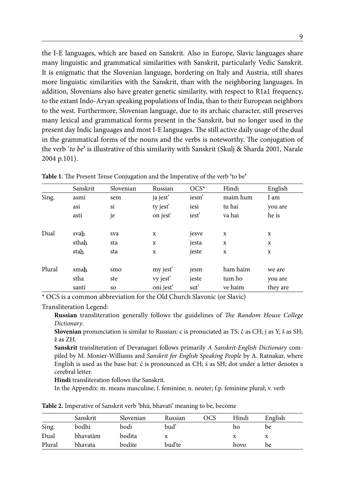the I-E languages, which are based on Sanskrit. Also in Europe, Slavic languages share many linguistic and grammatical similarities with Sanskrit, particularly Vedic Sanskrit. It is enigmatic that the Slovenian language, bordering on Italy and Austria, still shares more linguistic similarities with the Sanskrit, than with the neighboring languages. In addition, Slovenians also have greater genetic similarity, with respect to R1a1 frequency, to the extant Indo-Aryan speaking populations of India, than to their European neighbors to the west. Furthermore, Slovenian language, due to its archaic character, still preserves many lexical and grammatical forms present in the Sanskrit, but no longer used in the present day Indic languages and most I-E languages. The still active daily usage of the dual in the grammatical forms of the nouns and the verbs is noteworthy. The conjugation of the verb '*to be***'** is illustrative of this similarity with Sanskrit (Skulj & Sharda 2001, Narale 2004 p.101).

|        | Sanskrit | Slovenian | Russian              | $OCS^*$ | Hindi    | English  |
|--------|----------|-----------|----------------------|---------|----------|----------|
| Sing.  | asmi     | sem       | ja jest'             | iesm'   | maim hum | I am     |
|        | asi      | si        | ty jest'             | iesi    | tu hai   | you are  |
|        | asti     | je        | on jest'             | iest'   | va hai   | he is    |
| Dual   | svah     | sva       | X                    | jesve   | X        | X        |
|        | sthah    | sta       | X                    | jesta   | X        | x        |
|        | stah     | sta       | X                    | jeste   | X        | X        |
| Plural | smah     | smo       | my jest <sup>'</sup> | jesm    | ham haim | we are   |
|        | stha     | ste       | vy jest'             | jeste   | tum ho   | you are  |
|        | santi    | so        | oni jest'            | suť     | ve haim  | they are |

**Table 1.** The Present Tense Conjugation and the Imperative of the verb **'**to be**'**

\* OCS is a common abbreviation for the Old Church Slavonic (or Slavic)

#### Transliteration Legend:

**Russian** transliteration generally follows the guidelines of *The Random House College Dictionary*.

**Slovenian** pronunciation is similar to Russian: c is pronuciated as TS; č as CH; j as Y; š as SH; ž as ZH.

**Sanskrit** transliteration of Devanagari follows primarily *A Sanskrit-English Dictionary* compiled by M. Monier-Williams and *Sanskrit for English Speaking People* by A. Ratnakar, where English is used as the base but: ć is pronounced as CH; ś as SH; dot under a letter denotes a cerebral letter.

**Hindi** transliteration follows the Sanskrit.

In the Appendix: m. means masculine; f. feminine; n. neuter; f.p. feminine plural; v. verb

**Table 2.** Imperative of Sanskrit verb 'bhū, bhavati' meaning to be, become

|        | Sanskrit | Slovenian | Russian | OCS | Hindi | English |
|--------|----------|-----------|---------|-----|-------|---------|
| Sing.  | bodhi    | bodi      | buď     |     | ho    | be      |
| Dual   | bhavatām | bodita    |         |     |       | x       |
| Plural | bhavata  | bodite    | bud'te  |     | hovo  | be      |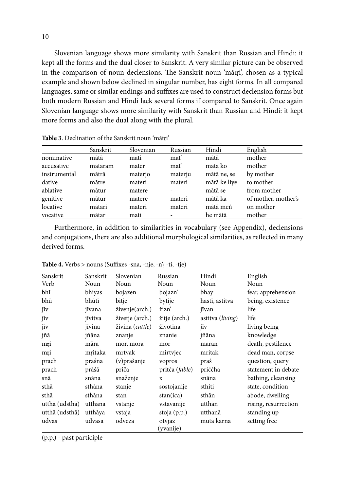Slovenian language shows more similarity with Sanskrit than Russian and Hindi: it kept all the forms and the dual closer to Sanskrit. A very similar picture can be observed in the comparison of noun declensions. The Sanskrit noun 'mātri', chosen as a typical example and shown below declined in singular number, has eight forms. In all compared languages, same or similar endings and suffixes are used to construct declension forms but both modern Russian and Hindi lack several forms if compared to Sanskrit. Once again Slovenian language shows more similarity with Sanskrit than Russian and Hindi: it kept more forms and also the dual along with the plural.

|              | Sanskrit | Slovenian | Russian | Hindi        | English             |
|--------------|----------|-----------|---------|--------------|---------------------|
| nominative   | mātā     | mati      | mat'    | mātā         | mother              |
| accusative   | mātāram  | mater     | mat'    | mātā ko      | mother              |
| instrumental | mātrā    | materjo   | materju | mātā ne, se  | by mother           |
| dative       | mātre    | materi    | materi  | mātā ke liye | to mother           |
| ablative     | mātur    | matere    |         | mātā se      | from mother         |
| genitive     | mātur    | matere    | materi  | mātā ka      | of mother, mother's |
| locative     | mātari   | materi    | materi  | mātā men     | on mother           |
| vocative     | mātar    | mati      |         | he mātā      | mother              |

Table 3. Declination of the Sanskrit noun 'mātri'

Furthermore, in addition to similarities in vocabulary (see Appendix), declensions and conjugations, there are also additional morphological similarities, as reflected in many derived forms.

| Sanskrit       | Sanskrit | Slovenian                | Russian             | Hindi            | English              |
|----------------|----------|--------------------------|---------------------|------------------|----------------------|
| Verb           | Noun     | Noun                     | Noun                | Noun             | Noun                 |
| bhī            | bhiyas   | bojazen                  | bojazn'             | bhay             | fear, apprehension   |
| bhū            | bhūtī    | bitje                    | bytije              | hastī, astitva   | being, existence     |
| jīv            | jīvana   | živenje(arch.)           | žizn                | jīvan            | life                 |
| jīv            | jīvitva  | živetje (arch.)          | žitje (arch.)       | astitva (living) | life                 |
| jīv            | jīvina   | živina ( <i>cattle</i> ) | životina            | jīv              | living being         |
| jñā            | jñāna    | znanje                   | znanie              | jñāna            | knowledge            |
| mri            | māra     | mor, mora                | mor                 | maran            | death, pestilence    |
| mri            | mritaka  | mrtvak                   | mirtvjec            | mritak           | dead man, corpse     |
| prach          | praśna   | (v) prašanje             | vopros              | praś             | question, query      |
| prach          | prāśā    | priča                    | pritča (fable)      | priććha          | statement in debate  |
| snā            | snāna    | snaženje                 | X                   | snāna            | bathing, cleansing   |
| sthā           | sthāna   | stanje                   | sostojanije         | sthiti           | state, condition     |
| sthā           | sthāna   | stan                     | stan(ica)           | sthān            | abode, dwelling      |
| utthā (udsthā) | utthāna  | vstanje                  | vstavanije          | utthān           | rising, resurrection |
| utthā (udsthā) | utthāya  | vstaja                   | stoja (p.p.)        | utthanā          | standing up          |
| udvās          | udvāsa   | odveza                   | otvjaz<br>(yvanije) | muta karnā       | setting free         |

**Table 4.** Verbs > nouns (Suffixes -sna, -nje, -n'; -ti, -tje)

(p.p.) - past participle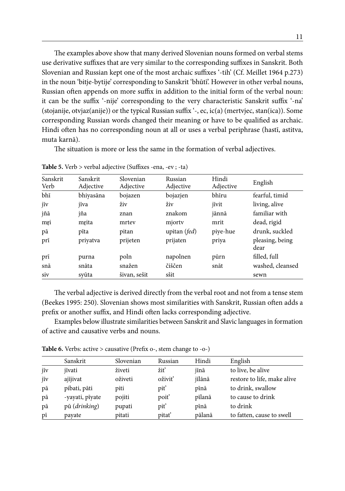The examples above show that many derived Slovenian nouns formed on verbal stems use derivative suffixes that are very similar to the corresponding suffixes in Sanskrit. Both Slovenian and Russian kept one of the most archaic suffixes '-tih' (Cf. Meillet 1964 p.273) in the noun 'bitje-bytije' corresponding to Sanskrit 'bhūtī'. However in other verbal nouns, Russian often appends on more suffix in addition to the initial form of the verbal noun: it can be the suffix '-nije' corresponding to the very characteristic Sanskrit suffix '-na' (stojanije, otvjaz(anije)) or the typical Russian suffix '-, ec, ic(a) (mertvjec, stan(ica)). Some corresponding Russian words changed their meaning or have to be qualified as archaic. Hindi often has no corresponding noun at all or uses a verbal periphrase (hastī, astitva, muta karnā).

The situation is more or less the same in the formation of verbal adjectives.

| Sanskrit<br>Verb | Sanskrit<br>Adjective | Slovenian<br>Adjective | Russian<br>Adjective  | Hindi<br>Adjective | English                 |
|------------------|-----------------------|------------------------|-----------------------|--------------------|-------------------------|
| bhī              | bhiyasāna             | bojazen                | bojazjen              | bhīru              | fearful, timid          |
| jīv              | jīva                  | živ                    | živ                   | jīvit              | living, alive           |
| jñā              | jña                   | znan                   | znakom                | jānnā              | familiar with           |
| mri              | mrita                 | mrtev                  | mjorty                | mrit               | dead, rigid             |
| рā               | pīta                  | pitan                  | upitan ( <i>fed</i> ) | piye-hue           | drunk, suckled          |
| prī              | priyatva              | prijeten               | prijaten              | priya              | pleasing, being<br>dear |
| prī              | purna                 | poln                   | napolnen              | pūrn               | filled, full            |
| snā              | snāta                 | snažen                 | čiščen                | snāt               | washed, cleansed        |
| siv              | svūta                 | šivan, sešit           | sšit                  |                    | sewn                    |

**Table 5.** Verb > verbal adjective (Suffixes -ena, -ev ; -ta)

The verbal adjective is derived directly from the verbal root and not from a tense stem (Beekes 1995: 250). Slovenian shows most similarities with Sanskrit, Russian often adds a prefix or another suffix, and Hindi often lacks corresponding adjective.

Examples below illustrate similarities between Sanskrit and Slavic languages in formation of active and causative verbs and nouns.

**Table 6.** Verbs: active > causative (Prefix o-, stem change to -o-)

|     | Sanskrit        | Slovenian | Russian           | Hindi  | English                     |
|-----|-----------------|-----------|-------------------|--------|-----------------------------|
| jīv | jīvati          | živeti    | žiť               | jīnā   | to live, be alive           |
| jīv | ajījivat        | oživeti   | oživiť            | jīlānā | restore to life, make alive |
| pā  | pibati, pāti    | piti      | piť               | pīnā   | to drink, swallow           |
| pā  | -yayati, pīyate | pojiti    | poit <sup>'</sup> | pīlanā | to cause to drink           |
| pā  | pū (drinking)   | pupati    | piť               | pīnā   | to drink                    |
| pī  | payate          | pitati    | pitat'            | pālanā | to fatten, cause to swell   |
|     |                 |           |                   |        |                             |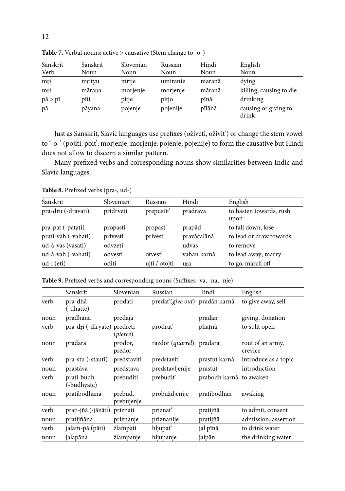| Sanskrit              | Sanskrit | Slovenian | Russian  | Hindi  | English                       |
|-----------------------|----------|-----------|----------|--------|-------------------------------|
| Verb                  | Noun     | Noun      | Noun     | Noun   | Noun                          |
| mri                   | mrityu   | mrtje     | umiranie | maranā | dying                         |
| mri                   | mārana   | morjenje  | morjenje | māranā | killing, causing to die       |
| $p\bar{a} > p\bar{i}$ | pīti     | pitje     | pitjo    | pīnā   | drinking                      |
| pā                    | pāyana   | pojenje   | pojenije | pīlānā | causing or giving to<br>drink |

**Table 7.** Verbal nouns: active > causative (Stem change to -o-)

Just as Sanskrit, Slavic languages use prefixes (oživeti, oživit') or change the stem vowel to '-o-' (pojiti, poit'; morjenje, morjenje; pojenje, pojenije) to form the causative but Hindi does not allow to discern a similar pattern.

Many prefixed verbs and corresponding nouns show similarities between Indic and Slavic languages.

| Sanskrit                                 | Slovenian            | Russian                          | Hindi                 | English                                       |
|------------------------------------------|----------------------|----------------------------------|-----------------------|-----------------------------------------------|
| pra-dru (-dravati)                       | pridrveti            | prepustit'                       | pradrava              | to hasten towards, rush<br>upon               |
| pra-pat (-patati)<br>prati-vah (-vahati) | propasti<br>privesti | propast <sup>3</sup><br>privest' | prapād<br>pravāćalānā | to fall down, lose<br>to lead or draw towards |
| ud-ā-vas (vasati)                        | odvzeti              |                                  | udvas                 | to remove                                     |
| ud-ā-vah (-vahati)                       | odvesti              | otvest <sup>2</sup>              | vahan karnā           | to lead away; marry                           |
| $ud-i$ (eti)                             | oditi                | ujti / otojti                    | ura                   | to go, march off                              |

**Table 8.** Prefixed verbs (pra-, ud-)

**Table 9.** Prefixed verbs and corresponding nouns (Suffixes -va, -na, -nje)

| Sanskrit                  | Slovenian             | Russian                                            | Hindi                   | English                                                             |
|---------------------------|-----------------------|----------------------------------------------------|-------------------------|---------------------------------------------------------------------|
| pra-dhā<br>(-dhatte)      | prodati               |                                                    |                         | to give away, sell                                                  |
| pradhāna                  | predaja               |                                                    | pradān                  | giving, donation                                                    |
|                           | (pierce)              | prodrať                                            | phatnā                  | to split open                                                       |
| pradara                   | prodor,<br>predor     |                                                    |                         | rout of an army,<br>crevice                                         |
| pra-stu (-stauti)         | predstaviti           | predstaviť                                         | prastut karnā           | introduce as a topic                                                |
| prastāva                  | predstava             | predstavljenije                                    | prastut                 | introduction                                                        |
| prati-budh<br>(-budhyate) | prebuditi             | prebudit'                                          | prabodh karnā to awaken |                                                                     |
| pratibodhanā              | prebud,<br>prebujenje | probuždjenije                                      | pratibodhān             | awaking                                                             |
|                           | priznati              | priznať                                            | pratijñā                | to admit, consent                                                   |
| pratijñāna                | priznanje             | priznanije                                         | pratijñā                | admission, assertion                                                |
| jalam-pā (pāti)           | žlampati              | hljupať                                            | jal pīnā                | to drink water                                                      |
| jalapāna                  | žlampanje             | hljupanje                                          | jalpān                  | the drinking water                                                  |
|                           |                       | pra-drī (-dīryate) predreti<br>prati-jñā (-jānāti) |                         | predat'(give out) pradān karnā<br>razdor ( <i>quarrel</i> ) pradara |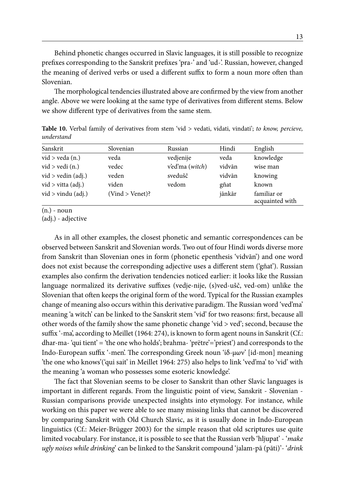Behind phonetic changes occurred in Slavic languages, it is still possible to recognize prefixes corresponding to the Sanskrit prefixes 'pra-' and 'ud-'. Russian, however, changed the meaning of derived verbs or used a different suffix to form a noun more often than Slovenian.

The morphological tendencies illustrated above are confirmed by the view from another angle. Above we were looking at the same type of derivatives from different stems. Below we show different type of derivatives from the same stem.

| Sanskrit              | Slovenian          | Russian         | Hindi  | English                        |
|-----------------------|--------------------|-----------------|--------|--------------------------------|
| $vid$ > veda $(n.)$   | veda               | vedjenije       | veda   | knowledge                      |
| $vid$ > $vedi$ $(n.)$ | vedec              | v'ed'ma (witch) | vidvān | wise man                       |
| vid > vedin (adj.)    | veden              | svedušč         | vidvān | knowing                        |
| vid > vitta (adj.)    | viden              | vedom           | gñat   | known                          |
| $vid$ > vindu (adj.)  | $(Vind > Venet)$ ? |                 | jānkār | familiar or<br>acquainted with |

**Table 10.** Verbal family of derivatives from stem 'vid > vedati, vidati, vindati'; *to know, percieve, understand*

 $(n.)$  - noun

(adj.) - adjective

As in all other examples, the closest phonetic and semantic correspondences can be observed between Sanskrit and Slovenian words. Two out of four Hindi words diverse more from Sanskrit than Slovenian ones in form (phonetic epenthesis 'vidvān') and one word does not exist because the corresponding adjective uses a different stem ('gñat'). Russian examples also confirm the derivation tendencies noticed earlier: it looks like the Russian language normalized its derivative suffixes (vedje-nije, (s)ved-ušč, ved-om) unlike the Slovenian that often keeps the original form of the word. Typical for the Russian examples change of meaning also occurs within this derivative paradigm. The Russian word 'ved'ma' meaning 'a witch' can be linked to the Sanskrit stem 'vid' for two reasons: first, because all other words of the family show the same phonetic change 'vid > ved'; second, because the suffix '-ma', according to Meillet (1964: 274), is known to form agent nouns in Sanskrit (Cf.: dhar-ma- 'qui tient' = 'the one who holds'; brahma- 'prëtre'='priest') and corresponds to the Indo-European suffix '-men'. The corresponding Greek noun 'ίδ-μων' [id-mon] meaning 'the one who knows'('qui sait' in Meillet 1964: 275) also helps to link 'ved'ma' to 'vid' with the meaning 'a woman who possesses some esoteric knowledge'.

The fact that Slovenian seems to be closer to Sanskrit than other Slavic languages is important in different regards. From the linguistic point of view, Sanskrit - Slovenian - Russian comparisons provide unexpected insights into etymology. For instance, while working on this paper we were able to see many missing links that cannot be discovered by comparing Sanskrit with Old Church Slavic, as it is usually done in Indo-European linguistics (Cf.: Meier-Brügger 2003) for the simple reason that old scriptures use quite limited vocabulary. For instance, it is possible to see that the Russian verb 'hljupat' - '*make ugly noises while drinking*' can be linked to the Sanskrit compound 'jalam-pā (pāti)'- '*drink*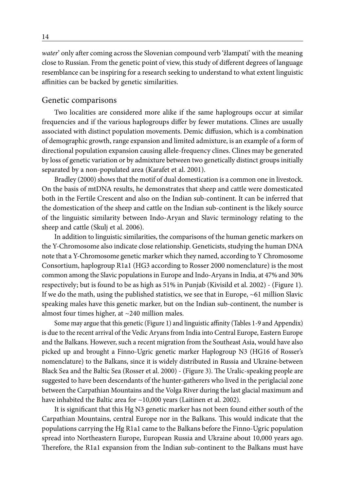*water*' only after coming across the Slovenian compound verb 'žlampati' with the meaning close to Russian. From the genetic point of view, this study of different degrees of language resemblance can be inspiring for a research seeking to understand to what extent linguistic affinities can be backed by genetic similarities.

#### Genetic comparisons

Two localities are considered more alike if the same haplogroups occur at similar frequencies and if the various haplogroups differ by fewer mutations. Clines are usually associated with distinct population movements. Demic diffusion, which is a combination of demographic growth, range expansion and limited admixture, is an example of a form of directional population expansion causing allele-frequency clines. Clines may be generated by loss of genetic variation or by admixture between two genetically distinct groups initially separated by a non-populated area (Karafet et al. 2001).

Bradley (2000) shows that the motif of dual domestication is a common one in livestock. On the basis of mtDNA results, he demonstrates that sheep and cattle were domesticated both in the Fertile Crescent and also on the Indian sub-continent. It can be inferred that the domestication of the sheep and cattle on the Indian sub-continent is the likely source of the linguistic similarity between Indo-Aryan and Slavic terminology relating to the sheep and cattle (Skulj et al. 2006).

In addition to linguistic similarities, the comparisons of the human genetic markers on the Y-Chromosome also indicate close relationship. Geneticists, studying the human DNA note that a Y-Chromosome genetic marker which they named, according to Y Chromosome Consortium, haplogroup R1a1 (HG3 according to Rosser 2000 nomenclature) is the most common among the Slavic populations in Europe and Indo-Aryans in India, at 47% and 30% respectively; but is found to be as high as 51% in Punjab (Kivisild et al. 2002) - (Figure 1). If we do the math, using the published statistics, we see that in Europe,  $\sim$  61 million Slavic speaking males have this genetic marker, but on the Indian sub-continent, the number is almost four times higher, at ~240 million males.

Some may argue that this genetic (Figure 1) and linguistic affinity (Tables 1-9 and Appendix) is due to the recent arrival of the Vedic Aryans from India into Central Europe, Eastern Europe and the Balkans. However, such a recent migration from the Southeast Asia, would have also picked up and brought a Finno-Ugric genetic marker Haplogroup N3 (HG16 of Rosser's nomenclature) to the Balkans, since it is widely distributed in Russia and Ukraine-between Black Sea and the Baltic Sea (Rosser et al. 2000) - (Figure 3). The Uralic-speaking people are suggested to have been descendants of the hunter-gatherers who lived in the periglacial zone between the Carpathian Mountains and the Volga River during the last glacial maximum and have inhabited the Baltic area for ~10,000 years (Laitinen et al. 2002).

It is significant that this Hg N3 genetic marker has not been found either south of the Carpathian Mountains, central Europe nor in the Balkans. This would indicate that the populations carrying the Hg R1a1 came to the Balkans before the Finno-Ugric population spread into Northeastern Europe, European Russia and Ukraine about 10,000 years ago. Therefore, the R1a1 expansion from the Indian sub-continent to the Balkans must have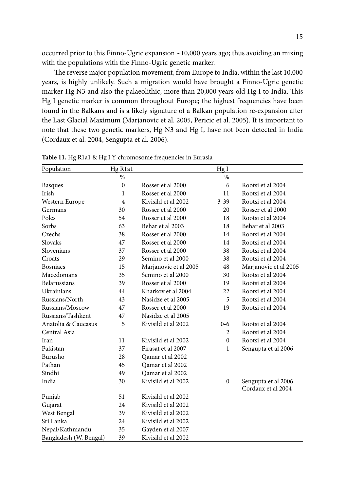occurred prior to this Finno-Ugric expansion  $\sim$ 10,000 years ago; thus avoiding an mixing with the populations with the Finno-Ugric genetic marker.

The reverse major population movement, from Europe to India, within the last 10,000 years, is highly unlikely. Such a migration would have brought a Finno-Ugric genetic marker Hg N3 and also the palaeolithic, more than 20,000 years old Hg I to India. This Hg I genetic marker is common throughout Europe; the highest frequencies have been found in the Balkans and is a likely signature of a Balkan population re-expansion after the Last Glacial Maximum (Marjanovic et al. 2005, Pericic et al. 2005). It is important to note that these two genetic markers, Hg N3 and Hg I, have not been detected in India (Cordaux et al. 2004, Sengupta et al. 2006).

| Population             | Hg R1a1        |                       | Hg I           |                       |
|------------------------|----------------|-----------------------|----------------|-----------------------|
|                        | $\%$           |                       | $\%$           |                       |
| <b>Basques</b>         | $\mathbf{0}$   | Rosser et al 2000     | 6              | Rootsi et al 2004     |
| Irish                  | 1              | Rosser et al 2000     | 11             | Rootsi et al 2004     |
| Western Europe         | $\overline{4}$ | Kivisild et al 2002   | $3 - 39$       | Rootsi et al 2004     |
| Germans                | 30             | Rosser et al 2000     | 20             | Rosser et al 2000     |
| Poles                  | 54             | Rosser et al 2000     | 18             | Rootsi et al 2004     |
| Sorbs                  | 63             | Behar et al 2003      | 18             | Behar et al 2003      |
| Czechs                 | 38             | Rosser et al 2000     | 14             | Rootsi et al 2004     |
| Slovaks                | 47             | Rosser et al 2000     | 14             | Rootsi et al 2004     |
| Slovenians             | 37             | Rosser et al 2000     | 38             | Rootsi et al 2004     |
| Croats                 | 29             | Semino et al 2000     | 38             | Rootsi et al 2004     |
| <b>Bosniacs</b>        | 15             | Marjanovic et al 2005 | 48             | Marjanovic et al 2005 |
| Macedonians            | 35             | Semino et al 2000     | 30             | Rootsi et al 2004     |
| <b>Belarussians</b>    | 39             | Rosser et al 2000     | 19             | Rootsi et al 2004     |
| Ukrainians             | 44             | Kharkov et al 2004    | 22             | Rootsi et al 2004     |
| Russians/North         | 43             | Nasidze et al 2005    | 5              | Rootsi et al 2004     |
| Russians/Moscow        | 47             | Rosser et al 2000     | 19             | Rootsi et al 2004     |
| Russians/Tashkent      | 47             | Nasidze et al 2005    |                |                       |
| Anatolia & Caucasus    | 5              | Kivisild et al 2002   | $0 - 6$        | Rootsi et al 2004     |
| Central Asia           |                |                       | $\overline{2}$ | Rootsi et al 2004     |
| Iran                   | 11             | Kivisild et al 2002   | $\theta$       | Rootsi et al 2004     |
| Pakistan               | 37             | Firasat et al 2007    | $\mathbf{1}$   | Sengupta et al 2006   |
| Burusho                | 28             | Qamar et al 2002      |                |                       |
| Pathan                 | 45             | Qamar et al 2002      |                |                       |
| Sindhi                 | 49             | Oamar et al 2002      |                |                       |
| India                  | 30             | Kivisild et al 2002   | $\theta$       | Sengupta et al 2006   |
|                        |                |                       |                | Cordaux et al 2004    |
| Punjab                 | 51             | Kivisild et al 2002   |                |                       |
| Gujarat                | 24             | Kivisild et al 2002   |                |                       |
| West Bengal            | 39             | Kivisild et al 2002   |                |                       |
| Sri Lanka              | 24             | Kivisild et al 2002   |                |                       |
| Nepal/Kathmandu        | 35             | Gayden et al 2007     |                |                       |
| Bangladesh (W. Bengal) | 39             | Kivisild et al 2002   |                |                       |

**Table 11.** Hg R1a1 & Hg I Y-chromosome frequencies in Eurasia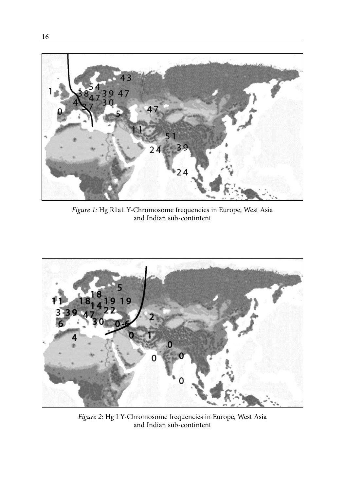

*Figure 1:* Hg R1a1 Y-Chromosome frequencies in Europe, West Asia and Indian sub-contintent



*Figure 2:* Hg I Y-Chromosome frequencies in Europe, West Asia and Indian sub-contintent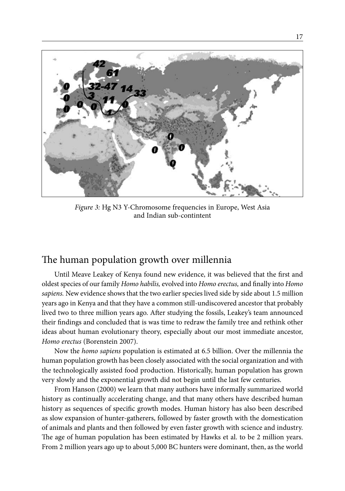

*Figure 3:* Hg N3 Y-Chromosome frequencies in Europe, West Asia and Indian sub-contintent

### The human population growth over millennia

Until Meave Leakey of Kenya found new evidence, it was believed that the first and oldest species of our family *Homo habilis,* evolved into *Homo erectus,* and finally into *Homo sapiens.* New evidence shows that the two earlier species lived side by side about 1.5 million years ago in Kenya and that they have a common still-undiscovered ancestor that probably lived two to three million years ago. After studying the fossils, Leakey's team announced their findings and concluded that is was time to redraw the family tree and rethink other ideas about human evolutionary theory, especially about our most immediate ancestor, *Homo erectus* (Borenstein 2007).

Now the *homo sapiens* population is estimated at 6.5 billion. Over the millennia the human population growth has been closely associated with the social organization and with the technologically assisted food production. Historically, human population has grown very slowly and the exponential growth did not begin until the last few centuries.

From Hanson (2000) we learn that many authors have informally summarized world history as continually accelerating change, and that many others have described human history as sequences of specific growth modes. Human history has also been described as slow expansion of hunter-gatherers, followed by faster growth with the domestication of animals and plants and then followed by even faster growth with science and industry. The age of human population has been estimated by Hawks et al. to be 2 million years. From 2 million years ago up to about 5,000 BC hunters were dominant, then, as the world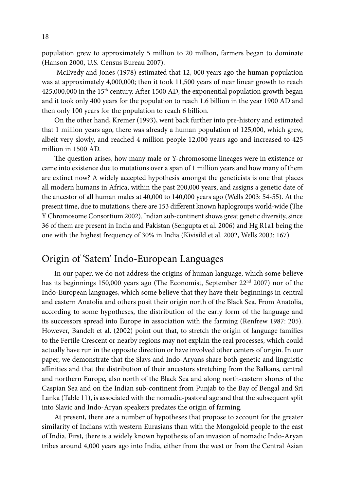population grew to approximately 5 million to 20 million, farmers began to dominate (Hanson 2000, U.S. Census Bureau 2007).

 McEvedy and Jones (1978) estimated that 12, 000 years ago the human population was at approximately 4,000,000; then it took 11,500 years of near linear growth to reach  $425,000,000$  in the 15<sup>th</sup> century. After 1500 AD, the exponential population growth began and it took only 400 years for the population to reach 1.6 billion in the year 1900 AD and then only 100 years for the population to reach 6 billion.

On the other hand, Kremer (1993), went back further into pre-history and estimated that 1 million years ago, there was already a human population of 125,000, which grew, albeit very slowly, and reached 4 million people 12,000 years ago and increased to 425 million in 1500 AD.

The question arises, how many male or Y-chromosome lineages were in existence or came into existence due to mutations over a span of 1 million years and how many of them are extinct now? A widely accepted hypothesis amongst the geneticists is one that places all modern humans in Africa, within the past 200,000 years, and assigns a genetic date of the ancestor of all human males at 40,000 to 140,000 years ago (Wells 2003: 54-55). At the present time, due to mutations, there are 153 different known haplogroups world-wide (The Y Chromosome Consortium 2002). Indian sub-continent shows great genetic diversity, since 36 of them are present in India and Pakistan (Sengupta et al. 2006) and Hg R1a1 being the one with the highest frequency of 30% in India (Kivisild et al. 2002, Wells 2003: 167).

### Origin of 'Satem' Indo-European Languages

In our paper, we do not address the origins of human language, which some believe has its beginnings 150,000 years ago (The Economist, September  $22<sup>nd</sup> 2007$ ) nor of the Indo-European languages, which some believe that they have their beginnings in central and eastern Anatolia and others posit their origin north of the Black Sea. From Anatolia, according to some hypotheses, the distribution of the early form of the language and its successors spread into Europe in association with the farming (Renfrew 1987: 205). However, Bandelt et al. (2002) point out that, to stretch the origin of language families to the Fertile Crescent or nearby regions may not explain the real processes, which could actually have run in the opposite direction or have involved other centers of origin. In our paper, we demonstrate that the Slavs and Indo-Aryans share both genetic and linguistic affinities and that the distribution of their ancestors stretching from the Balkans, central and northern Europe, also north of the Black Sea and along north-eastern shores of the Caspian Sea and on the Indian sub-continent from Punjab to the Bay of Bengal and Sri Lanka (Table 11), is associated with the nomadic-pastoral age and that the subsequent split into Slavic and Indo-Aryan speakers predates the origin of farming.

At present, there are a number of hypotheses that propose to account for the greater similarity of Indians with western Eurasians than with the Mongoloid people to the east of India. First, there is a widely known hypothesis of an invasion of nomadic Indo-Aryan tribes around 4,000 years ago into India, either from the west or from the Central Asian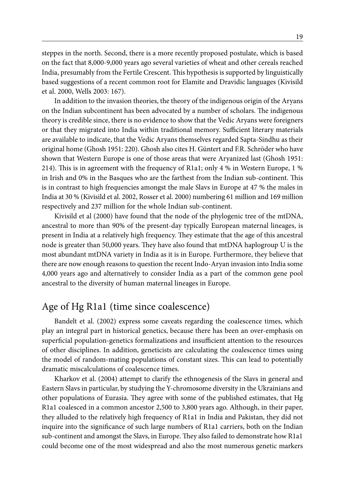steppes in the north. Second, there is a more recently proposed postulate, which is based on the fact that 8,000-9,000 years ago several varieties of wheat and other cereals reached India, presumably from the Fertile Crescent. This hypothesis is supported by linguistically based suggestions of a recent common root for Elamite and Dravidic languages (Kivisild et al. 2000, Wells 2003: 167).

In addition to the invasion theories, the theory of the indigenous origin of the Aryans on the Indian subcontinent has been advocated by a number of scholars. The indigenous theory is credible since, there is no evidence to show that the Vedic Aryans were foreigners or that they migrated into India within traditional memory. Sufficient literary materials are available to indicate, that the Vedic Aryans themselves regarded Sapta-Sindhu as their original home (Ghosh 1951: 220). Ghosh also cites H. Güntert and F.R. Schröder who have shown that Western Europe is one of those areas that were Aryanized last (Ghosh 1951: 214). This is in agreement with the frequency of R1a1; only 4 % in Western Europe, 1 % in Irish and 0% in the Basques who are the farthest from the Indian sub-continent. This is in contrast to high frequencies amongst the male Slavs in Europe at 47 % the males in India at 30 % (Kivisild et al. 2002, Rosser et al. 2000) numbering 61 million and 169 million respectively and 237 million for the whole Indian sub-continent.

Kivisild et al (2000) have found that the node of the phylogenic tree of the mtDNA, ancestral to more than 90% of the present-day typically European maternal lineages, is present in India at a relatively high frequency. They estimate that the age of this ancestral node is greater than 50,000 years. They have also found that mtDNA haplogroup U is the most abundant mtDNA variety in India as it is in Europe. Furthermore, they believe that there are now enough reasons to question the recent Indo-Aryan invasion into India some 4,000 years ago and alternatively to consider India as a part of the common gene pool ancestral to the diversity of human maternal lineages in Europe.

### Age of Hg R1a1 (time since coalescence)

Bandelt et al. (2002) express some caveats regarding the coalescence times, which play an integral part in historical genetics, because there has been an over-emphasis on superficial population-genetics formalizations and insufficient attention to the resources of other disciplines. In addition, geneticists are calculating the coalescence times using the model of random-mating populations of constant sizes. This can lead to potentially dramatic miscalculations of coalescence times.

Kharkov et al. (2004) attempt to clarify the ethnogenesis of the Slavs in general and Eastern Slavs in particular, by studying the Y-chromosome diversity in the Ukrainians and other populations of Eurasia. They agree with some of the published estimates, that Hg R1a1 coalesced in a common ancestor 2,500 to 3,800 years ago. Although, in their paper, they alluded to the relatively high frequency of R1a1 in India and Pakistan, they did not inquire into the significance of such large numbers of R1a1 carriers, both on the Indian sub-continent and amongst the Slavs, in Europe. They also failed to demonstrate how R1a1 could become one of the most widespread and also the most numerous genetic markers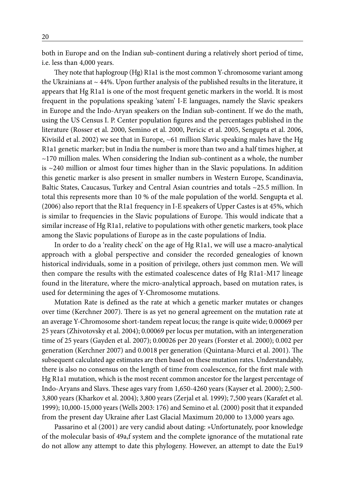both in Europe and on the Indian sub-continent during a relatively short period of time, i.e. less than 4,000 years.

They note that haplogroup (Hg) R1a1 is the most common Y-chromosome variant among the Ukrainians at  $\sim$  44%. Upon further analysis of the published results in the literature, it appears that Hg R1a1 is one of the most frequent genetic markers in the world. It is most frequent in the populations speaking 'satem' I-E languages, namely the Slavic speakers in Europe and the Indo-Aryan speakers on the Indian sub-continent. If we do the math, using the US Census I. P. Center population figures and the percentages published in the literature (Rosser et al. 2000, Semino et al. 2000, Pericic et al. 2005, Sengupta et al. 2006, Kivisild et al. 2002) we see that in Europe, ~61 million Slavic speaking males have the Hg R1a1 genetic marker; but in India the number is more than two and a half times higher, at  $\sim$ 170 million males. When considering the Indian sub-continent as a whole, the number is  $\sim$  240 million or almost four times higher than in the Slavic populations. In addition this genetic marker is also present in smaller numbers in Western Europe, Scandinavia, Baltic States, Caucasus, Turkey and Central Asian countries and totals ~25.5 million. In total this represents more than 10 % of the male population of the world. Sengupta et al. (2006) also report that the R1a1 frequency in I-E speakers of Upper Castes is at 45%, which is similar to frequencies in the Slavic populations of Europe. This would indicate that a similar increase of Hg R1a1, relative to populations with other genetic markers, took place among the Slavic populations of Europe as in the caste populations of India.

In order to do a 'reality check' on the age of Hg R1a1, we will use a macro-analytical approach with a global perspective and consider the recorded genealogies of known historical individuals, some in a position of privilege, others just common men. We will then compare the results with the estimated coalescence dates of Hg R1a1-M17 lineage found in the literature, where the micro-analytical approach, based on mutation rates, is used for determining the ages of Y-Chromosome mutations.

Mutation Rate is defined as the rate at which a genetic marker mutates or changes over time (Kerchner 2007). There is as yet no general agreement on the mutation rate at an average Y-Chromosome short-tandem repeat locus; the range is quite wide; 0.00069 per 25 years (Zhivotovsky et al. 2004); 0.00069 per locus per mutation, with an intergeneration time of 25 years (Gayden et al. 2007); 0.00026 per 20 years (Forster et al. 2000); 0.002 per generation (Kerchner 2007) and 0.0018 per generation (Quintana-Murci et al. 2001). The subsequent calculated age estimates are then based on these mutation rates. Understandably, there is also no consensus on the length of time from coalescence, for the first male with Hg R1a1 mutation, which is the most recent common ancestor for the largest percentage of Indo-Aryans and Slavs. These ages vary from 1,650-4260 years (Kayser et al. 2000); 2,500- 3,800 years (Kharkov et al. 2004); 3,800 years (Zerjal et al. 1999); 7,500 years (Karafet et al. 1999); 10,000-15,000 years (Wells 2003: 176) and Semino et al. (2000) posit that it expanded from the present day Ukraine after Last Glacial Maximum 20,000 to 13,000 years ago.

Passarino et al (2001) are very candid about dating: »Unfortunately, poor knowledge of the molecular basis of 49a,f system and the complete ignorance of the mutational rate do not allow any attempt to date this phylogeny. However, an attempt to date the Eu19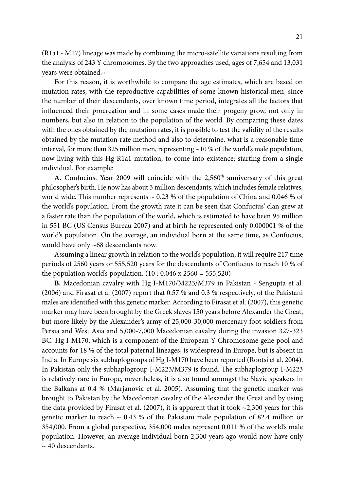(R1a1 - M17) lineage was made by combining the micro-satellite variations resulting from the analysis of 243 Y chromosomes. By the two approaches used, ages of 7,654 and 13,031 years were obtained.«

For this reason, it is worthwhile to compare the age estimates, which are based on mutation rates, with the reproductive capabilities of some known historical men, since the number of their descendants, over known time period, integrates all the factors that influenced their procreation and in some cases made their progeny grow, not only in numbers, but also in relation to the population of the world. By comparing these dates with the ones obtained by the mutation rates, it is possible to test the validity of the results obtained by the mutation rate method and also to determine, what is a reasonable time interval, for more than 325 million men, representing  $\sim$  10 % of the world's male population, now living with this Hg R1a1 mutation, to come into existence; starting from a single individual. For example:

**A.** Confucius. Year 2009 will coincide with the 2,560<sup>th</sup> anniversary of this great philosopher's birth. He now has about 3 million descendants, which includes female relatives, world wide. This number represents  $\sim 0.23$  % of the population of China and 0.046 % of the world's population. From the growth rate it can be seen that Confucius' clan grew at a faster rate than the population of the world, which is estimated to have been 95 million in 551 BC (US Census Bureau 2007) and at birth he represented only 0.000001 % of the world's population. On the average, an individual born at the same time, as Confucius, would have only ~68 descendants now.

Assuming a linear growth in relation to the world's population, it will require 217 time periods of 2560 years or 555,520 years for the descendants of Confucius to reach 10 % of the population world's population.  $(10:0.046 \times 2560 = 555,520)$ 

**B.** Macedonian cavalry with Hg I-M170/M223/M379 in Pakistan - Sengupta et al. (2006) and Firasat et al (2007) report that 0.57 % and 0.3 % respectively, of the Pakistani males are identified with this genetic marker. According to Firasat et al. (2007), this genetic marker may have been brought by the Greek slaves 150 years before Alexander the Great, but more likely by the Alexander's army of 25,000-30,000 mercenary foot soldiers from Persia and West Asia and 5,000-7,000 Macedonian cavalry during the invasion 327-323 BC. Hg I-M170, which is a component of the European Y Chromosome gene pool and accounts for 18 % of the total paternal lineages, is widespread in Europe, but is absent in India. In Europe six subhaplogroups of Hg I-M170 have been reported (Rootsi et al. 2004). In Pakistan only the subhaplogroup I-M223/M379 is found. The subhaplogroup I-M223 is relatively rare in Europe, nevertheless, it is also found amongst the Slavic speakers in the Balkans at 0.4 % (Marjanovic et al. 2005). Assuming that the genetic marker was brought to Pakistan by the Macedonian cavalry of the Alexander the Great and by using the data provided by Firasat et al. (2007), it is apparent that it took  $\sim$ 2,300 years for this genetic marker to reach  $\sim 0.43$  % of the Pakistani male population of 82.4 million or 354,000. From a global perspective, 354,000 males represent 0.011 % of the world's male population. However, an average individual born 2,300 years ago would now have only  $\sim$  40 descendants.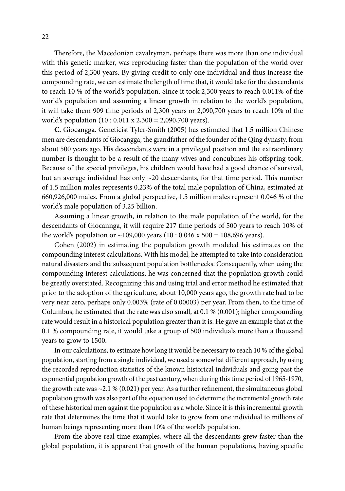Therefore, the Macedonian cavalryman, perhaps there was more than one individual with this genetic marker, was reproducing faster than the population of the world over this period of 2,300 years. By giving credit to only one individual and thus increase the compounding rate, we can estimate the length of time that, it would take for the descendants to reach 10 % of the world's population. Since it took 2,300 years to reach 0.011% of the world's population and assuming a linear growth in relation to the world's population, it will take them 909 time periods of 2,300 years or 2,090,700 years to reach 10% of the world's population (10 : 0.011 x 2,300 = 2,090,700 years).

**C.** Giocangga. Geneticist Tyler-Smith (2005) has estimated that 1.5 million Chinese men are descendants of Giocangga, the grandfather of the founder of the Qing dynasty, from about 500 years ago. His descendants were in a privileged position and the extraordinary number is thought to be a result of the many wives and concubines his offspring took. Because of the special privileges, his children would have had a good chance of survival, but an average individual has only  $\sim$  20 descendants, for that time period. This number of 1.5 million males represents 0.23% of the total male population of China, estimated at 660,926,000 males. From a global perspective, 1.5 million males represent 0.046 % of the world's male population of 3.25 billion.

Assuming a linear growth, in relation to the male population of the world, for the descendants of Giocannga, it will require 217 time periods of 500 years to reach 10% of the world's population or  $\sim$ 109,000 years (10 : 0.046 x 500 = 108,696 years).

Cohen (2002) in estimating the population growth modeled his estimates on the compounding interest calculations. With his model, he attempted to take into consideration natural disasters and the subsequent population bottlenecks. Consequently, when using the compounding interest calculations, he was concerned that the population growth could be greatly overstated. Recognizing this and using trial and error method he estimated that prior to the adoption of the agriculture, about 10,000 years ago, the growth rate had to be very near zero, perhaps only 0.003% (rate of 0.00003) per year. From then, to the time of Columbus, he estimated that the rate was also small, at 0.1 % (0.001); higher compounding rate would result in a historical population greater than it is. He gave an example that at the 0.1 % compounding rate, it would take a group of 500 individuals more than a thousand years to grow to 1500.

In our calculations, to estimate how long it would be necessary to reach 10 % of the global population, starting from a single individual, we used a somewhat different approach, by using the recorded reproduction statistics of the known historical individuals and going past the exponential population growth of the past century, when during this time period of 1965-1970, the growth rate was ~2.1 % (0.021) per year. As a further refinement, the simultaneous global population growth was also part of the equation used to determine the incremental growth rate of these historical men against the population as a whole. Since it is this incremental growth rate that determines the time that it would take to grow from one individual to millions of human beings representing more than 10% of the world's population.

From the above real time examples, where all the descendants grew faster than the global population, it is apparent that growth of the human populations, having specific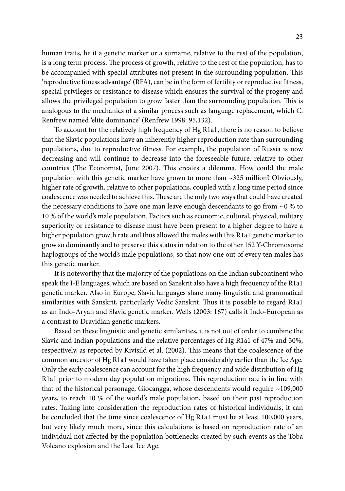human traits, be it a genetic marker or a surname, relative to the rest of the population, is a long term process. The process of growth, relative to the rest of the population, has to be accompanied with special attributes not present in the surrounding population. This 'reproductive fitness advantage' (RFA), can be in the form of fertility or reproductive fitness, special privileges or resistance to disease which ensures the survival of the progeny and allows the privileged population to grow faster than the surrounding population. This is analogous to the mechanics of a similar process such as language replacement, which C. Renfrew named 'elite dominance' (Renfrew 1998: 95,132).

To account for the relatively high frequency of Hg R1a1, there is no reason to believe that the Slavic populations have an inherently higher reproduction rate than surrounding populations, due to reproductive fitness. For example, the population of Russia is now decreasing and will continue to decrease into the foreseeable future, relative to other countries (The Economist, June 2007). This creates a dilemma. How could the male population with this genetic marker have grown to more than ~325 million? Obviously, higher rate of growth, relative to other populations, coupled with a long time period since coalescence was needed to achieve this. These are the only two ways that could have created the necessary conditions to have one man leave enough descendants to go from  $\sim$  0 % to 10 % of the world's male population. Factors such as economic, cultural, physical, military superiority or resistance to disease must have been present to a higher degree to have a higher population growth rate and thus allowed the males with this R1a1 genetic marker to grow so dominantly and to preserve this status in relation to the other 152 Y-Chromosome haplogroups of the world's male populations, so that now one out of every ten males has this genetic marker.

It is noteworthy that the majority of the populations on the Indian subcontinent who speak the I-E languages, which are based on Sanskrit also have a high frequency of the R1a1 genetic marker. Also in Europe, Slavic languages share many linguistic and grammatical similarities with Sanskrit, particularly Vedic Sanskrit. Thus it is possible to regard R1a1 as an Indo-Aryan and Slavic genetic marker. Wells (2003: 167) calls it Indo-European as a contrast to Dravidian genetic markers.

Based on these linguistic and genetic similarities, it is not out of order to combine the Slavic and Indian populations and the relative percentages of Hg R1a1 of 47% and 30%, respectively, as reported by Kivisild et al. (2002). This means that the coalescence of the common ancestor of Hg R1a1 would have taken place considerably earlier than the Ice Age. Only the early coalescence can account for the high frequency and wide distribution of Hg R1a1 prior to modern day population migrations. This reproduction rate is in line with that of the historical personage, Giocangga, whose descendents would require ~109,000 years, to reach 10 % of the world's male population, based on their past reproduction rates. Taking into consideration the reproduction rates of historical individuals, it can be concluded that the time since coalescence of Hg R1a1 must be at least 100,000 years, but very likely much more, since this calculations is based on reproduction rate of an individual not affected by the population bottlenecks created by such events as the Toba Volcano explosion and the Last Ice Age.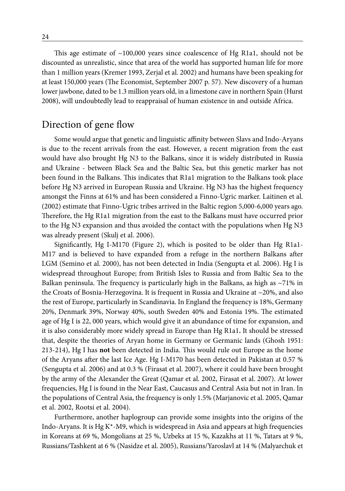This age estimate of  $\sim$ 100,000 years since coalescence of Hg R1a1, should not be discounted as unrealistic, since that area of the world has supported human life for more than 1 million years (Kremer 1993, Zerjal et al. 2002) and humans have been speaking for at least 150,000 years (The Economist, September 2007 p. 57). New discovery of a human lower jawbone, dated to be 1.3 million years old, in a limestone cave in northern Spain (Hurst 2008), will undoubtedly lead to reappraisal of human existence in and outside Africa.

### Direction of gene flow

Some would argue that genetic and linguistic affinity between Slavs and Indo-Aryans is due to the recent arrivals from the east. However, a recent migration from the east would have also brought Hg N3 to the Balkans, since it is widely distributed in Russia and Ukraine - between Black Sea and the Baltic Sea, but this genetic marker has not been found in the Balkans. This indicates that R1a1 migration to the Balkans took place before Hg N3 arrived in European Russia and Ukraine. Hg N3 has the highest frequency amongst the Finns at 61% and has been considered a Finno-Ugric marker. Laitinen et al. (2002) estimate that Finno-Ugric tribes arrived in the Baltic region 5,000-6,000 years ago. Therefore, the Hg R1a1 migration from the east to the Balkans must have occurred prior to the Hg N3 expansion and thus avoided the contact with the populations when Hg N3 was already present (Skulj et al. 2006).

Significantly, Hg I-M170 (Figure 2), which is posited to be older than Hg R1a1- M17 and is believed to have expanded from a refuge in the northern Balkans after LGM (Semino et al. 2000), has not been detected in India (Sengupta et al. 2006). Hg I is widespread throughout Europe; from British Isles to Russia and from Baltic Sea to the Balkan peninsula. The frequency is particularly high in the Balkans, as high as  $\sim$ 71% in the Croats of Bosnia-Herzegovina. It is frequent in Russia and Ukraine at  $\sim$ 20%, and also the rest of Europe, particularly in Scandinavia. In England the frequency is 18%, Germany 20%, Denmark 39%, Norway 40%, south Sweden 40% and Estonia 19%. The estimated age of Hg I is 22, 000 years, which would give it an abundance of time for expansion, and it is also considerably more widely spread in Europe than Hg R1a1**.** It should be stressed that, despite the theories of Aryan home in Germany or Germanic lands (Ghosh 1951: 213-214), Hg I has **not** been detected in India. This would rule out Europe as the home of the Aryans after the last Ice Age. Hg I-M170 has been detected in Pakistan at 0.57 % (Sengupta et al. 2006) and at 0.3 % (Firasat et al. 2007), where it could have been brought by the army of the Alexander the Great (Qamar et al. 2002, Firasat et al. 2007). At lower frequencies, Hg I is found in the Near East, Caucasus and Central Asia but not in Iran. In the populations of Central Asia, the frequency is only 1.5% (Marjanovic et al. 2005, Qamar et al. 2002, Rootsi et al. 2004).

Furthermore, another haplogroup can provide some insights into the origins of the Indo-Aryans. It is Hg K\*-M9, which is widespread in Asia and appears at high frequencies in Koreans at 69 %, Mongolians at 25 %, Uzbeks at 15 %, Kazakhs at 11 %, Tatars at 9 %, Russians/Tashkent at 6 % (Nasidze et al. 2005), Russians/Yaroslavl at 14 % (Malyarchuk et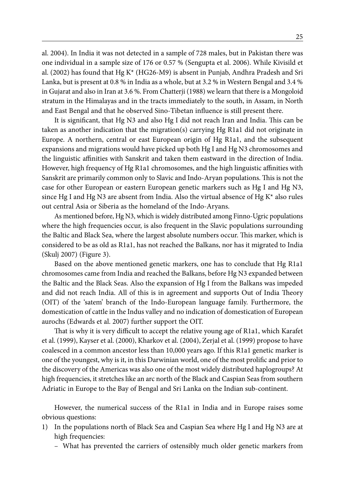al. 2004). In India it was not detected in a sample of 728 males, but in Pakistan there was one individual in a sample size of 176 or 0.57 % (Sengupta et al. 2006). While Kivisild et al. (2002) has found that Hg K\* (HG26-M9) is absent in Punjab, Andhra Pradesh and Sri Lanka, but is present at 0.8 % in India as a whole, but at 3.2 % in Western Bengal and 3.4 % in Gujarat and also in Iran at 3.6 %. From Chatterji (1988) we learn that there is a Mongoloid stratum in the Himalayas and in the tracts immediately to the south, in Assam, in North and East Bengal and that he observed Sino-Tibetan influence is still present there.

It is significant, that Hg N3 and also Hg I did not reach Iran and India. This can be taken as another indication that the migration(s) carrying Hg R1a1 did not originate in Europe. A northern, central or east European origin of Hg R1a1, and the subsequent expansions and migrations would have picked up both Hg I and Hg N3 chromosomes and the linguistic affinities with Sanskrit and taken them eastward in the direction of India. However, high frequency of Hg R1a1 chromosomes, and the high linguistic affinities with Sanskrit are primarily common only to Slavic and Indo-Aryan populations. This is not the case for other European or eastern European genetic markers such as Hg I and Hg N3, since Hg I and Hg N3 are absent from India. Also the virtual absence of Hg  $K^*$  also rules out central Asia or Siberia as the homeland of the Indo-Aryans.

As mentioned before, Hg N3, which is widely distributed among Finno-Ugric populations where the high frequencies occur, is also frequent in the Slavic populations surrounding the Baltic and Black Sea, where the largest absolute numbers occur. This marker, which is considered to be as old as R1a1, has not reached the Balkans, nor has it migrated to India (Skulj 2007) (Figure 3).

Based on the above mentioned genetic markers, one has to conclude that Hg R1a1 chromosomes came from India and reached the Balkans, before Hg N3 expanded between the Baltic and the Black Seas. Also the expansion of Hg I from the Balkans was impeded and did not reach India. All of this is in agreement and supports Out of India Theory (OIT) of the 'satem' branch of the Indo-European language family. Furthermore, the domestication of cattle in the Indus valley and no indication of domestication of European aurochs (Edwards et al. 2007) further support the OIT.

That is why it is very difficult to accept the relative young age of R1a1, which Karafet et al. (1999), Kayser et al. (2000), Kharkov et al. (2004), Zerjal et al. (1999) propose to have coalesced in a common ancestor less than 10,000 years ago. If this R1a1 genetic marker is one of the youngest, why is it, in this Darwinian world, one of the most prolific and prior to the discovery of the Americas was also one of the most widely distributed haplogroups? At high frequencies, it stretches like an arc north of the Black and Caspian Seas from southern Adriatic in Europe to the Bay of Bengal and Sri Lanka on the Indian sub-continent.

However, the numerical success of the R1a1 in India and in Europe raises some obvious questions:

- 1) In the populations north of Black Sea and Caspian Sea where Hg I and Hg N3 are at high frequencies:
	- What has prevented the carriers of ostensibly much older genetic markers from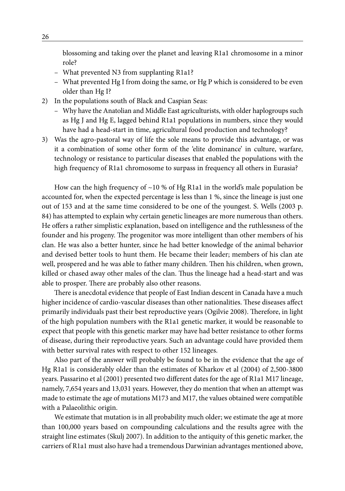blossoming and taking over the planet and leaving R1a1 chromosome in a minor role?

- What prevented N3 from supplanting R1a1?
- What prevented Hg I from doing the same, or Hg P which is considered to be even older than Hg I?
- 2) In the populations south of Black and Caspian Seas:
	- Why have the Anatolian and Middle East agriculturists, with older haplogroups such as Hg J and Hg E, lagged behind R1a1 populations in numbers, since they would have had a head-start in time, agricultural food production and technology?
- 3) Was the agro-pastoral way of life the sole means to provide this advantage, or was it a combination of some other form of the 'elite dominance' in culture, warfare, technology or resistance to particular diseases that enabled the populations with the high frequency of R1a1 chromosome to surpass in frequency all others in Eurasia?

How can the high frequency of  $\sim$ 10 % of Hg R1a1 in the world's male population be accounted for, when the expected percentage is less than 1 %, since the lineage is just one out of 153 and at the same time considered to be one of the youngest. S. Wells (2003 p. 84) has attempted to explain why certain genetic lineages are more numerous than others. He offers a rather simplistic explanation, based on intelligence and the ruthlessness of the founder and his progeny. The progenitor was more intelligent than other members of his clan. He was also a better hunter, since he had better knowledge of the animal behavior and devised better tools to hunt them. He became their leader; members of his clan ate well, prospered and he was able to father many children. Then his children, when grown, killed or chased away other males of the clan. Thus the lineage had a head-start and was able to prosper. There are probably also other reasons.

There is anecdotal evidence that people of East Indian descent in Canada have a much higher incidence of cardio-vascular diseases than other nationalities. These diseases affect primarily individuals past their best reproductive years (Ogilvie 2008). Therefore, in light of the high population numbers with the R1a1 genetic marker, it would be reasonable to expect that people with this genetic marker may have had better resistance to other forms of disease, during their reproductive years. Such an advantage could have provided them with better survival rates with respect to other 152 lineages.

Also part of the answer will probably be found to be in the evidence that the age of Hg R1a1 is considerably older than the estimates of Kharkov et al (2004) of 2,500-3800 years. Passarino et al (2001) presented two different dates for the age of R1a1 M17 lineage, namely, 7,654 years and 13,031 years. However, they do mention that when an attempt was made to estimate the age of mutations M173 and M17, the values obtained were compatible with a Palaeolithic origin.

We estimate that mutation is in all probability much older; we estimate the age at more than 100,000 years based on compounding calculations and the results agree with the straight line estimates (Skulj 2007). In addition to the antiquity of this genetic marker, the carriers of R1a1 must also have had a tremendous Darwinian advantages mentioned above,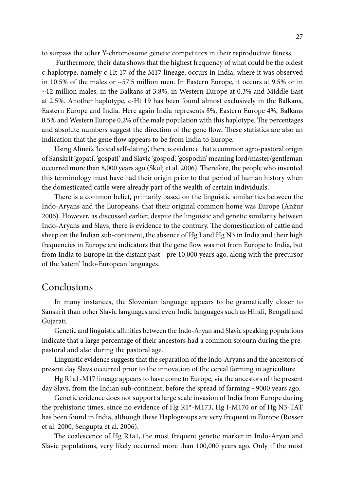to surpass the other Y-chromosome genetic competitors in their reproductive fitness.

 Furthermore, their data shows that the highest frequency of what could be the oldest c-haplotype, namely c-Ht 17 of the M17 lineage, occurs in India, where it was observed in 10.5% of the males or ~57.5 million men. In Eastern Europe, it occurs at 9.5% or in  $\sim$ 12 million males, in the Balkans at 3.8%, in Western Europe at 0.3% and Middle East at 2.5%. Another haplotype, c-Ht 19 has been found almost exclusively in the Balkans, Eastern Europe and India. Here again India represents 8%, Eastern Europe 4%, Balkans 0.5% and Western Europe 0.2% of the male population with this haplotype. The percentages and absolute numbers suggest the direction of the gene flow**.** These statistics are also an indication that the gene flow appears to be from India to Europe.

Using Alinei's 'lexical self-dating', there is evidence that a common agro-pastoral origin of Sanskrit 'gopati', 'gospati' and Slavic 'gospod', 'gospodin' meaning lord/master/gentleman occurred more than 8,000 years ago (Skulj et al. 2006). Therefore, the people who invented this terminology must have had their origin prior to that period of human history when the domesticated cattle were already part of the wealth of certain individuals.

There is a common belief, primarily based on the linguistic similarities between the Indo-Aryans and the Europeans, that their original common home was Europe (Anžur 2006). However, as discussed earlier, despite the linguistic and genetic similarity between Indo-Aryans and Slavs, there is evidence to the contrary. The domestication of cattle and sheep on the Indian sub-continent, the absence of Hg I and Hg N3 in India and their high frequencies in Europe are indicators that the gene flow was not from Europe to India, but from India to Europe in the distant past - pre 10,000 years ago, along with the precursor of the 'satem' Indo-European languages.

#### **Conclusions**

In many instances, the Slovenian language appears to be gramatically closer to Sanskrit than other Slavic languages and even Indic languages such as Hindi, Bengali and Gujarati.

Genetic and linguistic affinities between the Indo-Aryan and Slavic speaking populations indicate that a large percentage of their ancestors had a common sojourn during the prepastoral and also during the pastoral age.

Linguistic evidence suggests that the separation of the Indo-Aryans and the ancestors of present day Slavs occurred prior to the innovation of the cereal farming in agriculture.

Hg R1a1-M17 lineage appears to have come to Europe, via the ancestors of the present day Slavs, from the Indian sub-continent, before the spread of farming ~9000 years ago.

Genetic evidence does not support a large scale invasion of India from Europe during the prehistoric times, since no evidence of Hg R1\*-M173, Hg I-M170 or of Hg N3-TAT has been found in India, although these Haplogroups are very frequent in Europe (Rosser et al. 2000, Sengupta et al. 2006).

The coalescence of Hg R1a1, the most frequent genetic marker in Indo-Aryan and Slavic populations, very likely occurred more than 100,000 years ago. Only if the most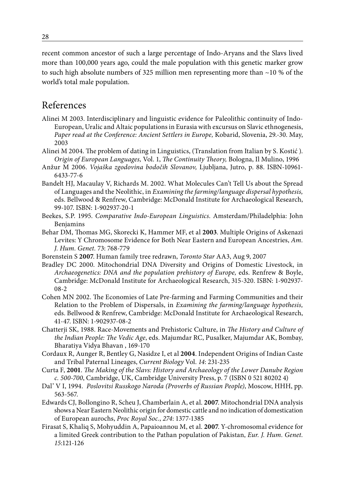recent common ancestor of such a large percentage of Indo-Aryans and the Slavs lived more than 100,000 years ago, could the male population with this genetic marker grow to such high absolute numbers of 325 million men representing more than  $\sim$ 10 % of the world's total male population.

## References

- Alinei M 2003. Interdisciplinary and linguistic evidence for Paleolithic continuity of Indo-European, Uralic and Altaic populations in Eurasia with excursus on Slavic ethnogenesis, *Paper read at the Conference: Ancient Settlers in Europe,* Kobarid, Slovenia, 29.-30. May, 2003
- Alinei M 2004. The problem of dating in Linguistics, (Translation from Italian by S. Kostić ). *Origin of European Languages,* Vol. 1, *The Continuity Theory,* Bologna, Il Mulino, 1996
- Anžur M 2006. *Vojaška zgodovina bodočih Slovanov,* Ljubljana, Jutro, p. 88. ISBN-10961- 6433-77-6
- Bandelt HJ, Macaulay V, Richards M. 2002. What Molecules Can't Tell Us about the Spread of Languages and the Neolithic, in *Examining the farming/language dispersal hypothesis,* eds. Bellwood & Renfrew, Cambridge: McDonald Institute for Archaeological Research, 99-107. ISBN: 1-902937-20-1
- Beekes, S.P. 1995. *Comparative Indo-European Linguistics*. Amsterdam/Philadelphia: John Benjamins
- Behar DM, Thomas MG, Skorecki K, Hammer MF, et al **2003**. Multiple Origins of Askenazi Levites: Y Chromosome Evidence for Both Near Eastern and European Ancestries, *Am. J. Hum. Genet.* 73: 768-779
- Borenstein S **2007**. Human family tree redrawn, *Toronto Star* AA3, Aug 9, 2007
- Bradley DC 2000. Mitochondrial DNA Diversity and Origins of Domestic Livestock, in *Archaeogenetics: DNA and the population prehistory of Europe,* eds. Renfrew & Boyle, Cambridge: McDonald Institute for Archaeological Research, 315-320. ISBN: 1-902937- 08-2
- Cohen MN 2002. The Economies of Late Pre-farming and Farming Communities and their Relation to the Problem of Dispersals, in *Examining the farming/language hypothesis,* eds. Bellwood & Renfrew, Cambridge: McDonald Institute for Archaeological Research, 41-47. ISBN: 1-902937-08-2
- Chatterji SK, 1988. Race-Movements and Prehistoric Culture, in *The History and Culture of the Indian People: The Vedic Age*, eds. Majumdar RC, Pusalker, Majumdar AK, Bombay, Bharatiya Vidya Bhavan , 169-170
- Cordaux R, Aunger R, Bentley G, Nasidze I, et al **2004**. Independent Origins of Indian Caste and Tribal Paternal Lineages, *Current Biology* Vol. *14*: 231-235
- Curta F, **2001**. *The Making of the Slavs: History and Archaeology of the Lower Danube Region c. 500-700*, Cambridge, UK, Cambridge University Press, p. 7 (ISBN 0 521 80202 4)
- Dal' V I, 1994. *Poslovitsi Russkogo Naroda (Proverbs of Russian People)*, Moscow, HHH, pp. 563-567.
- Edwards CJ, Bollongino R, Scheu J, Chamberlain A, et al. **2007**. Mitochondrial DNA analysis shows a Near Eastern Neolithic origin for domestic cattle and no indication of domestication of European aurochs, *Proc Royal Soc.*, *274*: 1377-1385
- Firasat S, Khaliq S, Mohyuddin A, Papaioannou M, et al. **2007**. Y-chromosomal evidence for a limited Greek contribution to the Pathan population of Pakistan, *Eur. J. Hum. Genet. 15*:121-126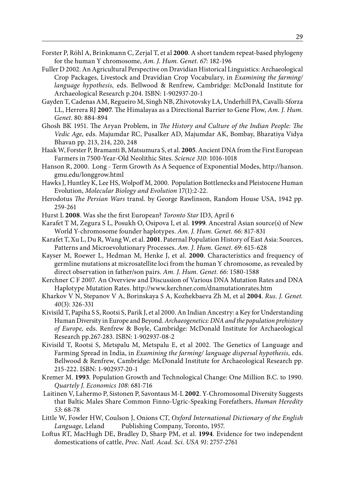- Forster P, Röhl A, Brinkmann C, Zerjal T, et al **2000**. A short tandem repeat-based phylogeny for the human Y chromosome, *Am. J. Hum. Genet. 67*: 182-196
- Fuller D 2002. An Agricultural Perspective on Dravidian Historical Linguistics: Archaeological Crop Packages, Livestock and Dravidian Crop Vocabulary, in *Examining the farming/ language hypothesis,* eds. Bellwood & Renfrew, Cambridge: McDonald Institute for Archaeological Research p.204. ISBN: 1-902937-20-1
- Gayden T, Cadenas AM, Regueiro M, Singh NB, Zhivotovsky LA, Underhill PA, Cavalli-Sforza LL, Herrera RJ **2007**. The Himalayas as a Directional Barrier to Gene Flow, *Am. J. Hum. Genet.* 80: 884-894
- Ghosh BK 1951. The Aryan Problem, in *The History and Culture of the Indian People: The Vedic Age,* eds. Majumdar RC, Pusalker AD, Majumdar AK, Bombay, Bharatiya Vidya Bhavan pp. 213, 214, 220, 248
- Haak W, Forster P, Bramanti B, Matsumura S, et al. **2005**. Ancient DNA from the First European Farmers in 7500-Year-Old Neolithic Sites. *Science 310*: 1016-1018
- Hanson R, 2000. Long Term Growth As A Sequence of Exponential Modes, http://hanson. gmu.edu/longgrow.html
- Hawks J, Huntley K, Lee HS, Wolpoff M, 2000. Population Bottlenecks and Pleistocene Human Evolution, *Molecular Biology and Evolution* 17(1):2-22.
- Herodotus *The Persian Wars* transl. by George Rawlinson, Random House USA, 1942 pp. 259-261
- Hurst L **2008**. Was she the first European? *Toronto Star* ID3, April 6
- Karafet T M, Zegura S L, Posukh O, Osipova I, et al. **1999**. Ancestral Asian source(s) of New World Y-chromosome founder haplotypes. *Am. J. Hum. Genet. 66*: 817-831
- Karafet T, Xu L, Du R, Wang W, et al. **2001**. Paternal Population History of East Asia: Sources, Patterns and Microevolutionary Processes. *Am. J. Hum. Genet. 69*: 615-628
- Kayser M, Roewer L, Hedman M, Henke J, et al. **2000**. Characteristics and frequency of germline mutations at microsatellite loci from the human Y chromosome, as revealed by direct observation in father/son pairs. *Am. J. Hum. Genet. 66*: 1580-1588
- Kerchner C F 2007. An Overview and Discussion of Various DNA Mutation Rates and DNA Haplotype Mutation Rates. http://www.kerchner.com/dnamutationrates.htm
- Kharkov V N, Stepanov V A, Borinskaya S A, Kozhekbaeva Zh M, et al **2004**. *Rus. J. Genet. 40*(3): 326-331
- Kivisild T, Papiha S S, Rootsi S, Parik J, et al 2000. An Indian Ancestry: a Key for Understanding Human Diversity in Europe and Beyond. *Archaeogenetics: DNA and the population prehistory of Europe,* eds. Renfrew & Boyle, Cambridge: McDonald Institute for Archaeological Research pp.267-283. ISBN: 1-902937-08-2
- Kivisild T, Rootsi S, Metspalu M, Metspalu E, et al 2002. The Genetics of Language and Farming Spread in India, in *Examining the farming/ language dispersal hypothesis,* eds. Bellwood & Renfrew, Cambridge: McDonald Institute for Archaeological Research pp. 215-222. ISBN: 1-902937-20-1
- Kremer M. **1993**. Population Growth and Technological Change: One Million B.C. to 1990. *Quartely J. Economics 108*: 681-716
- Laitinen V, Lahermo P, Sistonen P, Savontaus M-L **2002**. Y-Chromosomal Diversity Suggests that Baltic Males Share Common Finno-Ugric-Speaking Forefathers, *Human Heredity 53*: 68-78
- Little W, Fowler HW, Coulson J, Onions CT, *Oxford International Dictionary of the English Language,* Leland Publishing Company, Toronto, 1957.
- Loftus RT, MacHugh DE, Bradley D, Sharp PM, et al. **1994**. Evidence for two independent domestications of cattle, *Proc. Natl. Acad. Sci. USA 91*: 2757-2761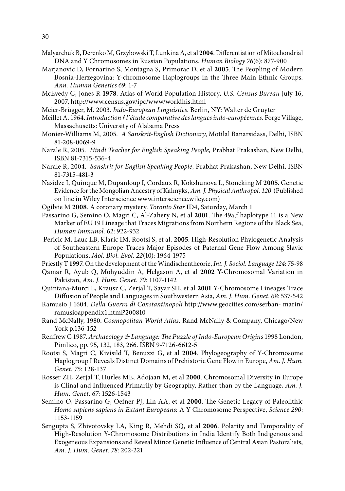- Malyarchuk B, Derenko M, Grzybowski T, Lunkina A, et al **2004**. Differentiation of Mitochondrial DNA and Y Chromosomes in Russian Populations. *Human Biology 76*(6): 877-900
- Marjanovic D, Fornarino S, Montagna S, Primorac D, et al **2005**. The Peopling of Modern Bosnia-Herzegovina: Y-chromosome Haplogroups in the Three Main Ethnic Groups. *Ann. Human Genetics 69*: 1-7
- McEvedy C, Jones R **1978**. Atlas of World Population History, *U.S. Census Bureau* July 16, 2007, http://www.census.gov/ipc/www/worldhis.html
- Meier-Brügger, M. 2003. *Indo-European Linguistics*. Berlin, NY: Walter de Gruyter
- Meillet A. 1964. *Introduction ŕ l'étude comparative des langues indo-européennes*. Forge Village, Massachusetts: University of Alabama Press
- Monier-Williams M, 2005. *A Sanskrit-English Dictionary*, Motilal Banarsidass, Delhi, ISBN 81-208-0069-9
- Narale R, 2005. *Hindi Teacher for English Speaking People,* Prabhat Prakashan, New Delhi, ISBN 81-7315-536-4
- Narale R, 2004. *Sanskrit for English Speaking People,* Prabhat Prakashan, New Delhi, ISBN 81-7315-481-3
- Nasidze I, Quinque M, Dupanloup I, Cordaux R, Kokshunova L, Stoneking M **2005**. Genetic Evidence for the Mongolian Ancestry of Kalmyks, *Am. J. Physical Anthropol. 120* (Published on line in Wiley Interscience www.interscience.wiley.com)
- Ogilvie M **2008**. A coronary mystery. *Toronto Star* ID4, Saturday, March 1
- Passarino G, Semino O, Magri C, Al-Zahery N, et al **2001**. The 49a,f haplotype 11 is a New Marker of EU 19 Lineage that Traces Migrations from Northern Regions of the Black Sea, *Human Immunol.* 62: 922-932
- Pericic M, Lauc LB, Klaric IM, Rootsi S, et al. **2005**. High-Resolution Phylogenetic Analysis of Southeastern Europe Traces Major Episodes of Paternal Gene Flow Among Slavic Populations, *Mol. Biol. Evol. 22*(10): 1964-1975
- Priestly T **1997**. On the development of the Windischentheorie, *Int. J. Sociol. Language 124*: 75-98
- Qamar R, Ayub Q, Mohyuddin A, Helgason A, et al **2002** Y-Chromosomal Variation in Pakistan, *Am. J. Hum. Genet. 70*: 1107-1142
- Quintana-Murci L, Krausz C, Zerjal T, Sayar SH, et al **2001** Y-Chromosome Lineages Trace Diffusion of People and Languages in Southwestern Asia, *Am. J. Hum. Genet. 68*: 537-542
- Ramusio J 1604. *Della Guerra di Constantinopoli* http://www.geocities.com/serban- marin/ ramusioappendix1.html?200810
- Rand McNally, 1980. *Cosmopolitan World Atlas.* Rand McNally & Company, Chicago/New York p.136-152
- Renfrew C 1987. *Archaeology & Language: The Puzzle of Indo-European Origins* 1998 London, Pimlico, pp. 95, 132, 183, 266. ISBN 9-7126-6612-5
- Rootsi S, Magri C, Kivisild T, Benuzzi G, et al **2004**. Phylogeography of Y-Chromosome Haplogroup I Reveals Distinct Domains of Prehistoric Gene Flow in Europe, *Am. J. Hum. Genet. 75*: 128-137
- Rosser ZH, Zerjal T, Hurles ME, Adojaan M, et al **2000**. Chromosomal Diversity in Europe is Clinal and Influenced Primarily by Geography, Rather than by the Language, *Am. J. Hum. Genet. 67*: 1526-1543
- Semino O, Passarino G, Oefner PJ, Lin AA, et al **2000**. The Genetic Legacy of Paleolithic *Homo sapiens sapiens in Extant Europeans:* A Y Chromosome Perspective, *Science 290*: 1153-1159
- Sengupta S, Zhivotovsky LA, King R, Mehdi SQ, et al **2006**. Polarity and Temporality of High-Resolution Y-Chromosome Distributions in India Identify Both Indigenous and Exogeneous Expansions and Reveal Minor Genetic Influence of Central Asian Pastoralists, *Am. J. Hum. Genet. 78*: 202-221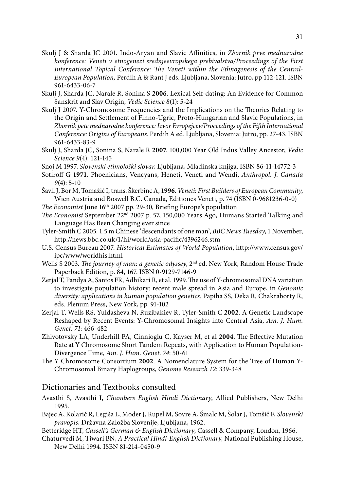- Skulj J & Sharda JC 2001. Indo-Aryan and Slavic Affinities, in *Zbornik prve mednarodne konference: Veneti v etnogenezi srednjeevropskega prebivalstva/Proceedings of the First International Topical Conference: The Veneti within the Ethnogenesis of the Central-European Population,* Perdih A & Rant J eds. Ljubljana, Slovenia: Jutro, pp 112-121. ISBN 961-6433-06-7
- Skulj J, Sharda JC, Narale R, Sonina S **2006**. Lexical Self-dating: An Evidence for Common Sanskrit and Slav Origin, *Vedic Science 8*(1): 5-24
- Skulj J 2007. Y-Chromosome Frequencies and the Implications on the Theories Relating to the Origin and Settlement of Finno-Ugric, Proto-Hungarian and Slavic Populations, in *Zbornik pete mednarodne konference: Izvor Evropejcev/Proceedings of the Fifth International Conference: Origins of Europeans*. Perdih A ed. Ljubljana, Slovenia: Jutro, pp. 27-43. ISBN 961-6433-83-9
- Skulj J, Sharda JC, Sonina S, Narale R **2007**. 100,000 Year Old Indus Valley Ancestor, *Vedic Science 9*(4): 121-145
- Snoj M 1997. *Slovenski etimološki slovar,* Ljubljana, Mladinska knjiga. ISBN 86-11-14772-3
- Sotiroff G **1971**. Phoenicians, Vencyans, Heneti, Veneti and Wendi, *Anthropol. J. Canada 9*(4): 5-10
- Šavli J, Bor M, Tomažič I, trans. Škerbinc A, **1996**. *Veneti: First Builders of European Community*, Wien Austria and Boswell B.C. Canada, Editiones Veneti, p. 74 (ISBN 0-9681236-0-0)
- *The Economist* June 16th 2007 pp. 29-30, Briefing Europe's population
- *The Economist* September 22nd 2007 p. 57, 150,000 Years Ago, Humans Started Talking and Language Has Been Changing ever since
- Tyler-Smith C 2005. 1.5 m Chinese 'descendants of one man', *BBC News Tuesday*, 1 November, http://news.bbc.co.uk/1/hi/world/asia-pacific/4396246.stm
- U.S. Census Bureau 2007. *Historical Estimates of World Population*, http://www.census.gov/ ipc/www/worldhis.html
- Wells S 2003. *The journey of man: a genetic odyssey*, 2nd ed. New York, Random House Trade Paperback Edition, p. 84, 167. ISBN 0-9129-7146-9
- Zerjal T, Pandya A, Santos FR, Adhikari R, et al. 1999. The use of Y-chromosomal DNA variation to investigate population history: recent male spread in Asia and Europe, in *Genomic diversity: applications in human population genetics.* Papiha SS, Deka R, Chakraborty R, eds. Plenum Press, New York, pp. 91-102
- Zerjal T, Wells RS, Yuldasheva N, Ruzibakiev R, Tyler-Smith C **2002**. A Genetic Landscape Reshaped by Recent Events: Y-Chromosomal Insights into Central Asia, *Am. J. Hum. Genet. 71*: 466-482
- Zhivotovsky LA, Underhill PA, Cinnioglu C, Kayser M, et al **2004**. The Effective Mutation Rate at Y Chromosome Short Tandem Repeats, with Application to Human Population-Divergence Time, *Am. J. Hum. Genet. 74*: 50-61
- The Y Chromosome Consortium **2002**. A Nomenclature System for the Tree of Human Y-Chromosomal Binary Haplogroups, *Genome Research 12*: 339-348

#### Dictionaries and Textbooks consulted

- Avasthi S, Avasthi I, *Chambers English Hindi Dictionary*, Allied Publishers, New Delhi 1995.
- Bajec A, Kolarič R, Legiša L, Moder J, Rupel M, Sovre A, Šmalc M, Šolar J, Tomšič F, *Slovenski pravopis,* Državna Založba Slovenije, Ljubljana, 1962.
- Betteridge HT, *Cassell's German & English Dictionary*, Cassell & Company, London, 1966.
- Chaturvedi M, Tiwari BN, *A Practical Hindi-English Dictionary,* National Publishing House, New Delhi 1994. ISBN 81-214-0450-9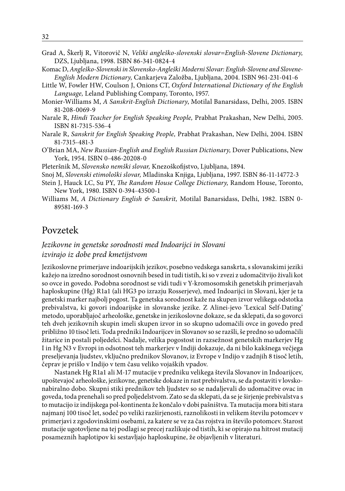- Grad A, Škerlj R, Vitorovič N, *Veliki angleško-slovenski slovar=English-Slovene Dictionary,* DZS, Ljubljana, 1998. ISBN 86-341-0824-4
- Komac D, *Angleško-Slovenski in Slovensko-Angleški Moderni Slovar: English-Slovene and Slovene-English Modern Dictionary,* Cankarjeva Založba, Ljubljana, 2004. ISBN 961-231-041-6
- Little W, Fowler HW, Coulson J, Onions CT, *Oxford International Dictionary of the English Language,* Leland Publishing Company, Toronto, 1957.
- Monier-Williams M, *A Sanskrit-English Dictionary*, Motilal Banarsidass, Delhi, 2005. ISBN 81-208-0069-9
- Narale R, *Hindi Teacher for English Speaking People,* Prabhat Prakashan, New Delhi, 2005. ISBN 81-7315-536-4
- Narale R, *Sanskrit for English Speaking People,* Prabhat Prakashan, New Delhi, 2004. ISBN 81-7315-481-3
- O'Brian MA, *New Russian-English and English Russian Dictionary,* Dover Publications, New York, 1954. ISBN 0-486-20208-0
- Pleteršnik M, *Slovensko nemški slovar,* Knezoškofijstvo, Ljubljana, 1894.
- Snoj M, *Slovenski etimološki slovar,* Mladinska Knjiga, Ljubljana, 1997. ISBN 86-11-14772-3
- Stein J, Hauck LC, Su PY, *The Random House College Dictionary,* Random House, Toronto, New York, 1980. ISBN 0-394-43500-1
- Williams M, *A Dictionary English & Sanskrit,* Motilal Banarsidass, Delhi, 1982. ISBN 0- 89581-169-3

#### Povzetek

#### *Jezikovne in genetske sorodnosti med Indoarijci in Slovani izvirajo iz dobe pred kmetijstvom*

Jezikoslovne primerjave indoarijskih jezikov, posebno vedskega sanskrta, s slovanskimi jeziki kažejo na izredno sorodnost osnovnih besed in tudi tistih, ki so v zvezi z udomačitvijo živali kot so ovce in govedo. Podobna sorodnost se vidi tudi v Y-kromosomskih genetskih primerjavah haploskupine (Hg) R1a1 (ali HG3 po izrazju Rosserjeve), med Indoarijci in Slovani, kjer je ta genetski marker najbolj pogost. Ta genetska sorodnost kaže na skupen izvor velikega odstotka prebivalstva, ki govori indoarijske in slovanske jezike. Z Alinei-jevo 'Lexical Self-Dating' metodo, uporabljajoč arheološke, genetske in jezikoslovne dokaze, se da sklepati, da so govorci teh dveh jezikovnih skupin imeli skupen izvor in so skupno udomačili ovce in govedo pred približno 10 tisoč leti. Toda predniki Indoarijcev in Slovanov so se razšli, še predno so udomačili žitarice in postali poljedelci. Nadalje, velika pogostost in razsežnost genetskih markerjev Hg I in Hg N3 v Evropi in odsotnost teh markerjev v Indiji dokazuje, da ni bilo kakšnega večjega preseljevanja ljudstev, vključno prednikov Slovanov, iz Evrope v Indijo v zadnjih 8 tisoč letih, čeprav je prišlo v Indijo v tem času veliko vojaških vpadov.

Nastanek Hg R1a1 ali M-17 mutacije v predniku velikega števila Slovanov in Indoarijcev, upoštevajoč arheološke, jezikovne, genetske dokaze in rast prebivalstva, se da postaviti v lovskonabiralno dobo. Skupni stiki prednikov teh ljudstev so se nadaljevali do udomačitve ovac in goveda, toda prenehali so pred poljedelstvom. Zato se da sklepati, da se je širjenje prebivalstva s to mutacijo iz indijskega pol-kontinenta že končalo v dobi pašništva. Ta mutacija mora biti stara najmanj 100 tisoč let, sodeč po veliki razširjenosti, raznolikosti in velikem številu potomcev v primerjavi z zgodovinskimi osebami, za katere se ve za čas rojstva in število potomcev. Starost mutacije ugotovljene na tej podlagi se precej razlikuje od tistih, ki se opirajo na hitrost mutacij posameznih haplotipov ki sestavljajo haploskupine, že objavljenih v literaturi.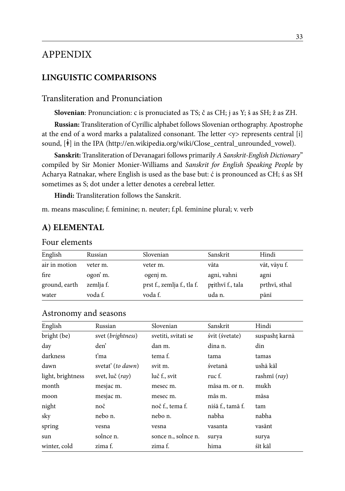## APPENDIX

#### **LINGUISTIC COMPARISONS**

#### Transliteration and Pronunciation

**Slovenian**: Pronunciation: c is pronuciated as TS; č as CH; j as Y; š as SH; ž as ZH.

**Russian:** Transliteration of Cyrillic alphabet follows Slovenian orthography. Apostrophe at the end of a word marks a palatalized consonant. The letter <y> represents central [i] sound,  $[\dot{\mathbf{t}}]$  in the IPA (http://en.wikipedia.org/wiki/Close\_central\_unrounded\_vowel).

**Sanskrit:** Transliteration of Devanagari follows primarily *A Sanskrit-English Dictionary*" compiled by Sir Monier Monier-Williams and *Sanskrit for English Speaking People* by Acharya Ratnakar, where English is used as the base but: ć is pronounced as CH; ś as SH sometimes as S; dot under a letter denotes a cerebral letter.

**Hindi:** Transliteration follows the Sanskrit.

m. means masculine; f. feminine; n. neuter; f.pl. feminine plural; v. verb

#### **A) ELEMENTAL**

#### Four elements

| English       | Russian   | Slovenian                  | Sanskrit         | Hindi         |
|---------------|-----------|----------------------------|------------------|---------------|
| air in motion | veter m.  | veter m.                   | vāta             | vāt, vāyu f.  |
| fire          | ogon'm.   | ogenj m.                   | agni, vahni      | agni          |
| ground, earth | zemlja f. | prst f., zemlja f., tla f. | prithvī f., tala | prthvi, sthal |
| water         | voda f.   | voda f.                    | uda n.           | pānī          |

| English           | Russian           | Slovenian           | Sanskrit         | Hindi                              |
|-------------------|-------------------|---------------------|------------------|------------------------------------|
| bright (be)       | svet (brightness) | svetiti, svitati se | śvit (śvetate)   | suspasht karnā                     |
| day               | den'              | dan m.              | dina n.          | din                                |
| darkness          | ťma               | tema f.             | tama             | tamas                              |
| dawn              | svetať (to dawn)  | svit m.             | śvetanā          | ushā kāl                           |
| light, brightness | svet, luč (ray)   | luč f., svit        | ruc f.           | rashmī $\left(\frac{ray}{\right)}$ |
| month             | mesjac m.         | mesec m.            | māsa m. or n.    | mukh                               |
| moon              | mesjac m.         | mesec m.            | mās m.           | māsa                               |
| night             | noč               | noč f., tema f.     | niśā f., tamā f. | tam                                |
| sky               | nebo n.           | nebo n.             | nabha            | nabha                              |
| spring            | vesna             | vesna               | vasanta          | vasānt                             |
| sun               | solnce n.         | sonce n., solnce n. | surya            | surya                              |
| winter, cold      | zima f.           | zima f.             | hima             | śīt kāl                            |

#### Astronomy and seasons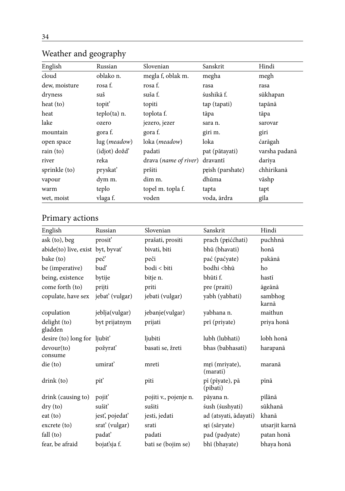| English       | Russian               | Slovenian                      | Sanskrit         | Hindi         |
|---------------|-----------------------|--------------------------------|------------------|---------------|
| cloud         | oblako n.             | megla f, oblak m.              | megha            | megh          |
| dew, moisture | rosa f.               | rosa f.                        | rasa             | rasa          |
| dryness       | suš                   | suša f.                        | śushikā f.       | sūkhapan      |
| heat $(to)$   | topit <sup>'</sup>    | topiti                         | tap (tapati)     | tapānā        |
| heat          | $teplo(ta)$ n.        | toplota f.                     | tāpa             | tāpa          |
| lake          | ozero                 | jezero, jezer                  | sara n.          | sarovar       |
| mountain      | gora f.               | gora f.                        | giri m.          | giri          |
| open space    | lug ( <i>meadow</i> ) | loka (meadow)                  | loka             | ćarāgah       |
| rain $(to)$   | (idjot) dožď          | padati                         | pat (pātayati)   | varsha padanā |
| river         | reka                  | drava ( <i>name of river</i> ) | dravantī         | dariya        |
| sprinkle (to) | pryskať               | pršiti                         | prish (parshate) | chhirikanā    |
| vapour        | dym m.                | dim m.                         | dhūma            | vāshp         |
| warm          | teplo                 | topel m. topla f.              | tapta            | tapt          |
| wet, moist    | vlaga f.              | voden                          | voda, ārdra      | gīla          |

## Weather and geography

## Primary actions

| English                      | Russian        | Slovenian             | Sanskrit                             | Hindi            |
|------------------------------|----------------|-----------------------|--------------------------------------|------------------|
| ask (to), beg                | prosit'        | prašati, prositi      | prach (priććhati)                    | puchhnā          |
| abide(to) live, exist        | byt, byvat'    | bivati, biti          | bhū (bhavati)                        | honā             |
| bake (to)                    | peč'           | peči                  | pać (paćyate)                        | pakānā           |
| be (imperative)              | bud'           | bodi < biti           | bodhi <bhū< td=""><td>ho</td></bhū<> | ho               |
| being, existence             | bytije         | bitje n.              | bhūti f.                             | hastī            |
| come forth (to)              | prijti         | priti                 | pre (praiti)                         | āgeānā           |
| copulate, have sex           | jebať (vulgar) | jebati (vulgar)       | yabh (yabhati)                       | sambhog<br>karnā |
| copulation                   | jeblja(vulgar) | jebanje(vulgar)       | yabhana n.                           | maithun          |
| delight (to)<br>gladden      | byt prijatnym  | prijati               | prī (priyate)                        | priya honā       |
| desire (to) long for ljubit' |                | ljubiti               | lubh (lubhati)                       | lobh honā        |
| devour(to)<br>consume        | požyrať        | basati se, žreti      | bhas (babhasati)                     | harapanā         |
| $\text{die}(\text{to})$      | umirat'        | mreti                 | mri (mriyate),<br>(marati)           | maranā           |
| drink(to)                    | pit'           | piti                  | pī (pīyate), pā<br>(pibati)          | pīnā             |
| drink (causing to)           | pojiť          | pojiti v., pojenje n. | pāyana n.                            | pīlānā           |
| $\rm{dry}\left($ to $\rm{)}$ | sušiť          | sušiti                | śush (śushyati)                      | sūkhanā          |
| eat (to)                     | jest', pojedať | jesti, jedati         | ad (atsyati, ādayati)                | khanā            |
| excrete(to)                  | srat' (vulgar) | srati                 | sri (sāryate)                        | utsarjit karnā   |
| fall (to)                    | padať          | padati                | pad (padyate)                        | patan honā       |
| fear, be afraid              | bojaťsja f.    | bati se (bojim se)    | bhī (bhayate)                        | bhaya honā       |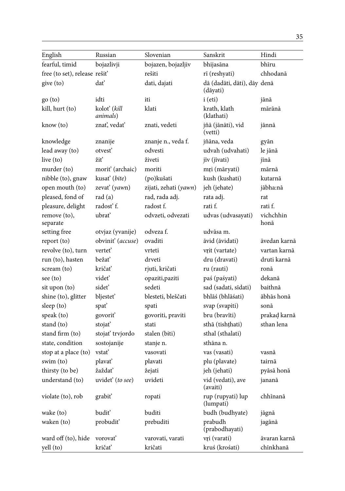| English                      | Russian                         | Slovenian             | Sanskrit                                | Hindi             |
|------------------------------|---------------------------------|-----------------------|-----------------------------------------|-------------------|
| fearful, timid               | bojazlivji                      | bojazen, bojazljiv    | bhijasāna                               | bhīru             |
| free (to set), release rešiť |                                 | rešiti                | rī (reshyati)                           | chhodanā          |
| give (to)                    | dat'                            | dati, dajati          | dā (dadāti, dāti), dāy denā<br>(dāyati) |                   |
| go (to)                      | idti                            | iti                   | i (eti)                                 | jānā              |
| kill, hurt (to)              | koloť (kill<br><i>animals</i> ) | klati                 | krath, klath<br>(klathati)              | mārānā            |
| know (to)                    | znať, vedať                     | znati, vedeti         | jñā (jānāti), vid<br>(vetti)            | jānnā             |
| knowledge                    | znanije                         | znanje n., veda f.    | jñāna, veda                             | gyān              |
| lead away (to)               | otvesť                          | odvesti               | udvah (udvahati)                        | le jānā           |
| live (to)                    | žiť                             | živeti                | jīv (jīvati)                            | jīnā              |
| murder (to)                  | morit' (archaic)                | moriti                | mri (māryati)                           | mārnā             |
| nibble (to), gnaw            | kusať (bite)                    | (po)kušati            | kush (kushati)                          | kutarnā           |
| open mouth (to)              | zevať (yawn)                    | zijati, zehati (yawn) | jeh (jehate)                            | jābha:nā          |
| pleased, fond of             | rad(a)                          | rad, rada adj.        | rata adj.                               | rat               |
| pleasure, delight            | radosť f.                       | radost f.             | rati f.                                 | rati f.           |
| remove (to),<br>separate     | ubrať                           | odvzeti, odvezati     | udvas (udvasayati)                      | vichchhin<br>honā |
| setting free                 | otvjaz (yvanije)                | odveza f.             | udvāsa m.                               |                   |
| report (to)                  | obviniť (accuse)                | ovaditi               | āvid (āvidati)                          | āvedan karnā      |
| revolve (to), turn           | vertet'                         | vrteti                | vrit (vartate)                          | vartan karnā      |
| run (to), hasten             | bežať                           | drveti                | dru (dravati)                           | druti karnā       |
| scream (to)                  | kričať                          | rjuti, kričati        | ru (rauti)                              | ronā              |
| see (to)                     | videť                           | opaziti, paziti       | paś (paśyati)                           | dekanā            |
| sit upon (to)                | sidet'                          | sedeti                | sad (sadati, sīdati)                    | baithnā           |
| shine (to), glitter          | bljestet'                       | blesteti, bleščati    | bhlāś (bhlāśati)                        | ābhās honā        |
| sleep (to)                   | spat'                           | spati                 | svap (svapiti)                          | sonā              |
| speak (to)                   | govoriť                         | govoriti, praviti     | bru (bravīti)                           | prakad karnā      |
| stand (to)                   | stojať                          | stati                 | sthā (tishțhati)                        | sthan lena        |
| stand firm (to)              | stojať trvjordo                 | stalen (biti)         | sthal (sthalati)                        |                   |
| state, condition             | sostojanije                     | stanje n.             | sthāna n.                               |                   |
| stop at a place (to)         | vstať                           | vasovati              | vas (vasati)                            | vasnā             |
| swim (to)                    | plavať                          | plavati               | plu (plavate)                           | tairnā            |
| thirsty (to be)              | žaždať                          | žejati                | jeh (jehati)                            | pyāsā honā        |
| understand (to)              | uvidet' (to see)                | uvideti               | vid (vedati), ave<br>(avaiti)           | jananā            |
| violate (to), rob            | grabit'                         | ropati                | rup (rupyati) lup<br>(lumpati)          | chhīnanā          |
| wake (to)                    | budit'                          | buditi                | budh (budhyate)                         | jāgnā             |
| waken (to)                   | probudit'                       | prebuditi             | prabudh<br>(prabodhayati)               | jagānā            |
| ward off (to), hide          | vorovať                         | varovati, varati      | vri (varati)                            | āvaran karnā      |
| yell (to)                    | kričať                          | kričati               | kruś (krośati)                          | chīnkhanā         |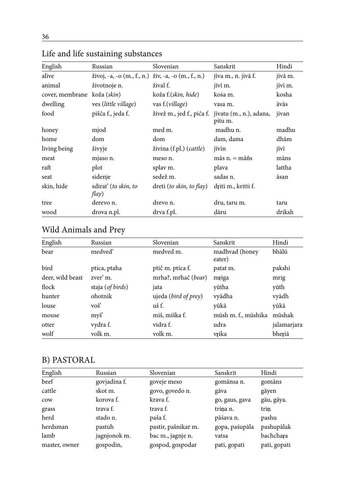| English         | Russian                                                 | Slovenian                        | Sanskrit                           | Hindi   |
|-----------------|---------------------------------------------------------|----------------------------------|------------------------------------|---------|
| alive           | živoj, -a, -o $(m., f., n.)$ živ, -a, -o $(m., f., n.)$ |                                  | jīva m., n. jivā f.                | jivā m. |
| animal          | životnoje n.                                            | žival f.                         | jīvī m.                            | jīvī m. |
| cover, membrane | koža (skin)                                             | koža f.(skin, hide)              | kośa m.                            | kosha   |
| dwelling        | ves (little village)                                    | vas f.(village)                  | vasa m.                            | āvās    |
| food            | pišča f., jeda f.                                       | živež m., jed f., piča f.        | jīvatu (m., n.), adana,<br>pitu m. | jivan   |
| honey           | mjod                                                    | med m.                           | madhu n.                           | madhu   |
| home            | dom                                                     | dom                              | dam, dama                          | dhām    |
| living being    | živyje                                                  | živina (f.pl.) ( <i>cattle</i> ) | jīvin                              | jīvī    |
| meat            | mjaso n.                                                | meso n.                          | $m\$ {a} s n = m\{a} n s           | māns    |
| raft            | plot                                                    | splay m.                         | plava                              | lattha  |
| seat            | sidenje                                                 | sedež m.                         | sadas n.                           | āsan    |
| skin, hide      | sdirať ( <i>to skin</i> , <i>to</i><br>flay)            | dreti (to skin, to flay)         | driti m., kritti f.                |         |
| tree            | derevo n.                                               | drevo n.                         | dru, taru m.                       | taru    |
| wood            | drova n.pl.                                             | drva f.pl.                       | dāru                               | driksh  |

## Life and life sustaining substances

## Wild Animals and Prey

| English          | Russian              | Slovenian                     | Sanskrit                 | Hindi       |
|------------------|----------------------|-------------------------------|--------------------------|-------------|
| bear             | medved'              | medved m.                     | madhvad (honey<br>eater) | bhālū       |
| bird             | ptica, ptaha         | ptič m. ptica f.              | patat m.                 | pakshi      |
| deer, wild beast | zver' m.             | mrha?, mrhač (bear)           | mriga                    | mrig        |
| flock            | staja (of birds)     | jata                          | yūtha                    | yūth        |
| hunter           | ohotnik              | ujeda ( <i>bird of prey</i> ) | vyādha                   | vyādh       |
| louse            | $\overrightarrow{v}$ | uš f.                         | vūkā                     | yūkā        |
| mouse            | myš                  | miš, miška f.                 | mūsh m. f., mūshika      | mūshak      |
| otter            | vydra f.             | vidra f.                      | udra                     | jalamarjara |
| wolf             | volk m.              | volk m.                       | vrika                    | bheriā      |

## B) PASTORAL

| English       | Russian      | Slovenian           | Sanskrit       | Hindi        |
|---------------|--------------|---------------------|----------------|--------------|
| beef          | govjadina f. | goveje meso         | gomānsa n.     | gomāns       |
| cattle        | skot m.      | govo, govedo n.     | gāva           | gāyen        |
| cow           | korova f.    | krava f.            | go, gaus, gava | gāu, gāya.   |
| grass         | trava f.     | trava f.            | trina n.       | trin         |
| herd          | stado n.     | paša f.             | pāśava n.      | pashu        |
| herdsman      | pastuh       | pastir, pašnikar m. | gopa, paśupāla | pashupālak   |
| lamb          | jagnjonok m. | bac m., jagnje n.   | vatsa          | bachchara    |
| master, owner | gospodin,    | gospod, gospodar    | pati, gopati   | pati, gopati |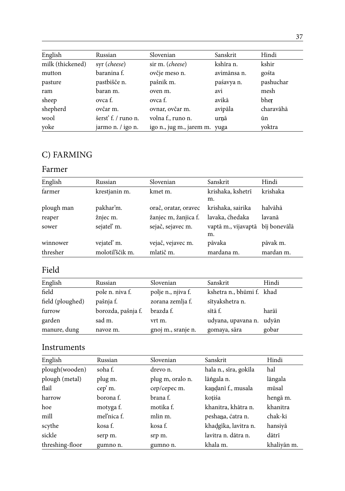| English          | Russian            | Slovenian                     | Sanskrit    | Hindi     |
|------------------|--------------------|-------------------------------|-------------|-----------|
| milk (thickened) | syr (cheese)       | sir m. (cheese)               | kshīra n.   | kshir     |
| mutton           | baranina f.        | ovčje meso n.                 | avimānsa n. | gośta     |
| pasture          | pastbišče n.       | pašnik m.                     | paśavya n.  | pashuchar |
| ram              | baran m.           | oven m.                       | avi         | mesh      |
| sheep            | ovca f.            | ovca f.                       | avikā       | bher      |
| shepherd         | ovčar m.           | ovnar, ovčar m.               | avipāla     | charavāhā |
| wool             | šersť f. / runo n. | volna f., runo n.             | urnā        | ūn        |
| yoke             | jarmo n. / igo n.  | igo n., jug m., jarem m. yuga |             | voktra    |

## C) FARMING

### Farmer

| English    | Russian         | Slovenian            | Sanskrit                  | Hindi        |
|------------|-----------------|----------------------|---------------------------|--------------|
| farmer     | krestjanin m.   | kmet m.              | krishaka, kshetrī         | krishaka     |
|            |                 |                      | m.                        |              |
| plough man | pakhar'm.       | orač, oratar, oravec | krishaka, sairika         | halvāhā      |
| reaper     | žnjec m.        | žanjec m, žanjica f. | lavaka, ćhedaka           | lavanā       |
| sower      | sejateľ m.      | sejač, sejavec m.    | vaptā m., vijavaptā<br>m. | bīj bonevālā |
| winnower   | vejateľ m.      | vejač, vejavec m.    | pāvaka                    | pāvak m.     |
| thresher   | molotil'ščik m. | mlatič m.            | mardana m.                | mardan m.    |

## Field

| English          | Russian            | Slovenian          | Sanskrit                  | Hindi |
|------------------|--------------------|--------------------|---------------------------|-------|
| field            | pole n. niva f.    | polje n., njiva f. | kshetra n., bhūmi f. khad |       |
| field (ploughed) | pašnja f.          | zorana zemlja f.   | sītyakshetra n.           |       |
| furrow           | borozda, pašnja f. | brazda f.          | sītā f.                   | harāī |
| garden           | sad m.             | vrt m.             | udyana, upavana n.        | udvān |
| manure, dung     | navoz m.           | gnoj m., sranje n. | gomaya, sāra              | gobar |

### Instruments

| English         | Russian     | Slovenian        | Sanskrit              | Hindi       |
|-----------------|-------------|------------------|-----------------------|-------------|
| plough(wooden)  | soha f.     | drevo n.         | hala n., sīra, gokīla | hal         |
| plough (metal)  | plug m.     | plug m, oralo n. | lāngala n.            | lāngala     |
| flail           | cep' m.     | cep/cepec m.     | kandanī f., musala    | mūsal       |
| harrow          | borona f.   | brana f.         | kotiśa                | hengā m.    |
| hoe             | motyga f.   | motika f.        | khanitra, khātra n.   | khanitra    |
| mill            | mel'nica f. | mlin m.          | peshana, ćatra n.     | chak-ki     |
| scythe          | kosa f.     | kosa f.          | khadgīka, lavitra n.  | hansiyā     |
| sickle          | serp m.     | srp m.           | lavitra n. dātra n.   | dātrī       |
| threshing-floor | gumno n.    | gumno n.         | khala m.              | khalivān m. |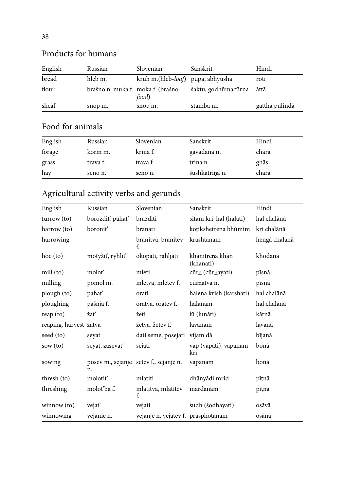| English | Russian                            | Slovenian                         | Sanskrit            | Hindi          |
|---------|------------------------------------|-----------------------------------|---------------------|----------------|
| bread   | hleb m.                            | kruh m.(hleb-loaf) pūpa, abhyusha |                     | rotī           |
| flour   | brašno n. muka f. moka f. (brašno- | food)                             | śaktu, godhūmacūrna | āttā           |
| sheaf   | snop m.                            | snop m.                           | stamba m.           | gattha pulindā |

## Products for humans

## Food for animals

| English | Russian  | Slovenian | Sanskrit       | Hindi |
|---------|----------|-----------|----------------|-------|
| forage  | korm m.  | krma f.   | gavādana n.    | chārā |
| grass   | trava f. | trava f.  | trina n.       | ghās  |
| hay     | seno n.  | seno n.   | śushkatrina n. | chārā |

## Agricultural activity verbs and gerunds

| English                | Russian         | Slovenian                              | Sanskrit                     | Hindi         |
|------------------------|-----------------|----------------------------------------|------------------------------|---------------|
| farrow (to)            | borozdiť, pahať | brazditi                               | sītam kri, hal (halati)      | hal chalānā   |
| harrow (to)            | boronit'        | branati                                | koțikshetrena bhūmim         | kri chalānā   |
| harrowing              |                 | branitva, branitev<br>f.               | krashtanam                   | hengā chalanā |
| hoe (to)               | motyžiť, ryhliť | okopati, rahljati                      | khanitrena khan<br>(khanati) | khodanā       |
| mill (to)              | moloť           | mleti                                  | cūrn (cūrnayati)             | pīsnā         |
| milling                | pomol m.        | mletva, mletev f.                      | cūrnatva n.                  | pīsnā         |
| plough (to)            | pahať           | orati                                  | halena krish (karshati)      | hal chalānā   |
| ploughing              | pašnja f.       | oratva, oratev f.                      | halanam                      | hal chalānā   |
| reap (to)              | žať             | žeti                                   | lū (lunāti)                  | kātnā         |
| reaping, harvest žatva |                 | žetva, žetev f.                        | lavanam                      | lavanā        |
| seed (to)              | seyat           | dati seme, posejati                    | vījam dā                     | bījanā        |
| sow (to)               | seyat, zasevať  | sejati                                 | vap (vapati), vapanam<br>kri | bonā          |
| sowing                 | n.              | posev m., sejanje setev f., sejanje n. | vapanam                      | bonā          |
| thresh (to)            | molotit'        | mlatiti                                | dhānyādi mrid                | pītnā         |
| threshing              | molot'ba f.     | mlatitva, mlatitev<br>f.               | mardanam                     | pītnā         |
| winnow (to)            | vejať           | vejati                                 | śudh (śodhayati)             | osāvā         |
| winnowing              | vejanie n.      | vejanje n. vejatev f. prasphotanam     |                              | osānā         |

#### 38